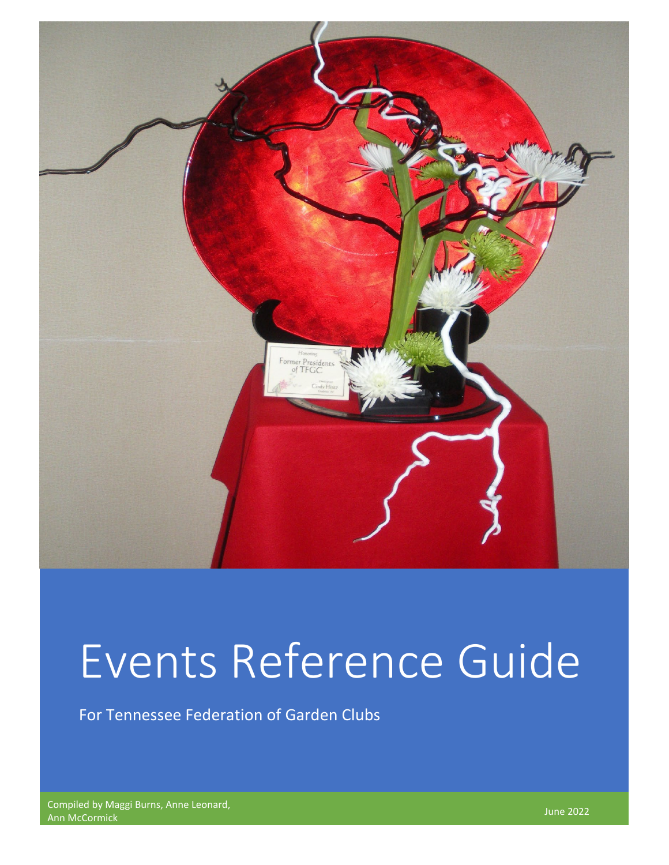

# Events Reference Guide

For Tennessee Federation of Garden Clubs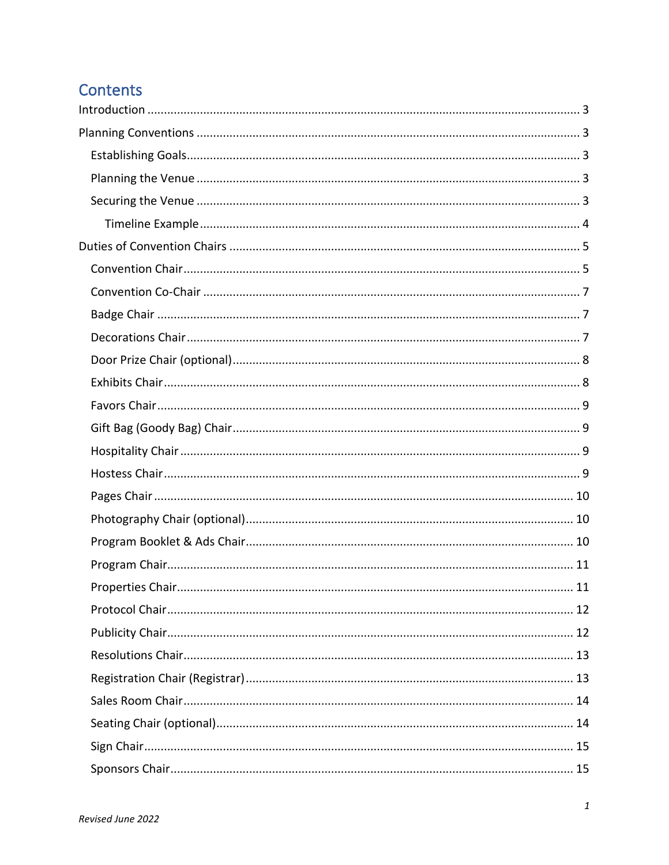# **Contents**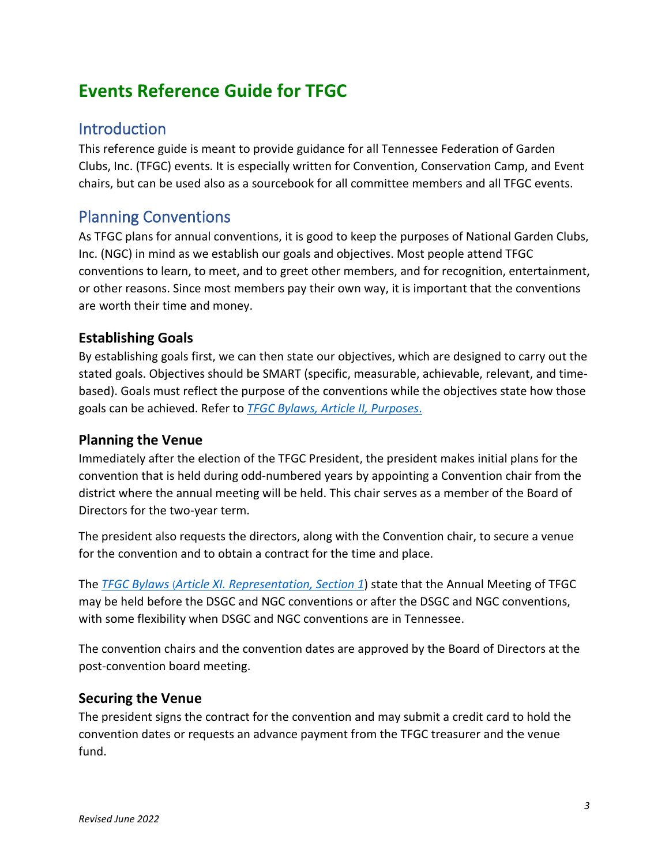# **Events Reference Guide for TFGC**

# <span id="page-3-0"></span>**Introduction**

This reference guide is meant to provide guidance for all Tennessee Federation of Garden Clubs, Inc. (TFGC) events. It is especially written for Convention, Conservation Camp, and Event chairs, but can be used also as a sourcebook for all committee members and all TFGC events.

# <span id="page-3-1"></span>Planning Conventions

As TFGC plans for annual conventions, it is good to keep the purposes of National Garden Clubs, Inc. (NGC) in mind as we establish our goals and objectives. Most people attend TFGC conventions to learn, to meet, and to greet other members, and for recognition, entertainment, or other reasons. Since most members pay their own way, it is important that the conventions are worth their time and money.

# <span id="page-3-2"></span>**Establishing Goals**

By establishing goals first, we can then state our objectives, which are designed to carry out the stated goals. Objectives should be SMART (specific, measurable, achievable, relevant, and timebased). Goals must reflect the purpose of the conventions while the objectives state how those goals can be achieved. Refer to *[TFGC Bylaws, Article II, Purposes](https://www.tngardenclubs.org/governance-docs/)*.

# <span id="page-3-3"></span>**Planning the Venue**

Immediately after the election of the TFGC President, the president makes initial plans for the convention that is held during odd-numbered years by appointing a Convention chair from the district where the annual meeting will be held. This chair serves as a member of the Board of Directors for the two-year term.

The president also requests the directors, along with the Convention chair, to secure a venue for the convention and to obtain a contract for the time and place.

The *TFGC Bylaws* (*[Article XI. Representation, Section 1](https://www.tngardenclubs.org/governance-docs/)*) state that the Annual Meeting of TFGC may be held before the DSGC and NGC conventions or after the DSGC and NGC conventions, with some flexibility when DSGC and NGC conventions are in Tennessee.

The convention chairs and the convention dates are approved by the Board of Directors at the post-convention board meeting.

# <span id="page-3-4"></span>**Securing the Venue**

The president signs the contract for the convention and may submit a credit card to hold the convention dates or requests an advance payment from the TFGC treasurer and the venue fund.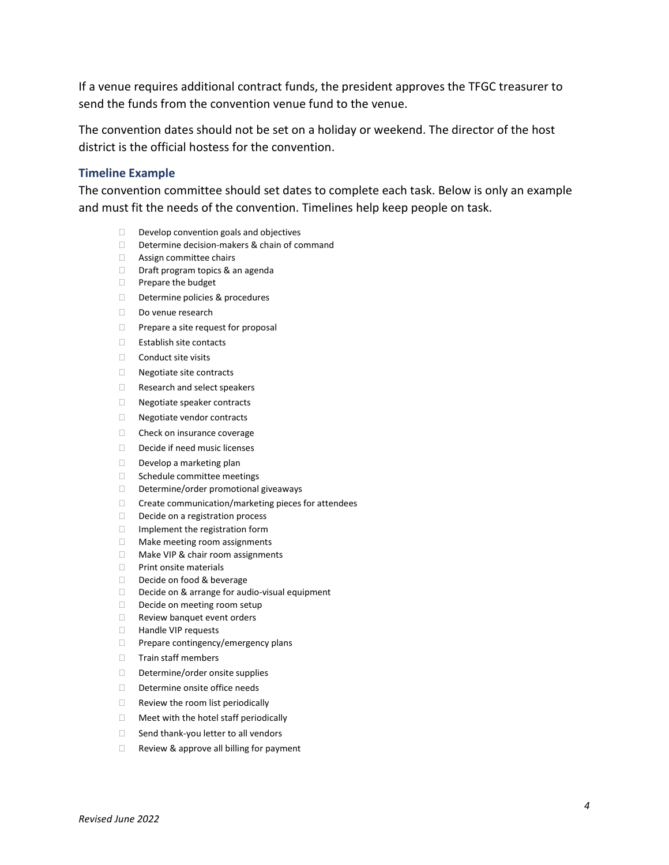If a venue requires additional contract funds, the president approves the TFGC treasurer to send the funds from the convention venue fund to the venue.

The convention dates should not be set on a holiday or weekend. The director of the host district is the official hostess for the convention.

## <span id="page-4-0"></span>**Timeline Example**

The convention committee should set dates to complete each task. Below is only an example and must fit the needs of the convention. Timelines help keep people on task.

- $\Box$  Develop convention goals and objectives
- Determine decision-makers & chain of command
- Assign committee chairs
- D Draft program topics & an agenda
- **Prepare the budget**
- Determine policies & procedures
- Do venue research
- $\Box$  Prepare a site request for proposal
- $\square$  Establish site contacts
- $\Box$  Conduct site visits
- □ Negotiate site contracts
- Research and select speakers
- □ Negotiate speaker contracts
- □ Negotiate vendor contracts
- $\Box$  Check on insurance coverage
- Decide if need music licenses
- Develop a marketing plan
- $\Box$  Schedule committee meetings
- Determine/order promotional giveaways
- $\Box$  Create communication/marketing pieces for attendees
- Decide on a registration process
- Implement the registration form
- Make meeting room assignments
- □ Make VIP & chair room assignments
- $\Box$  Print onsite materials
- Decide on food & beverage
- Decide on & arrange for audio-visual equipment
- Decide on meeting room setup
- □ Review banquet event orders
- □ Handle VIP requests
- □ Prepare contingency/emergency plans
- □ Train staff members
- Determine/order onsite supplies
- Determine onsite office needs
- Review the room list periodically
- $\Box$  Meet with the hotel staff periodically
- □ Send thank-you letter to all vendors
- $\Box$  Review & approve all billing for payment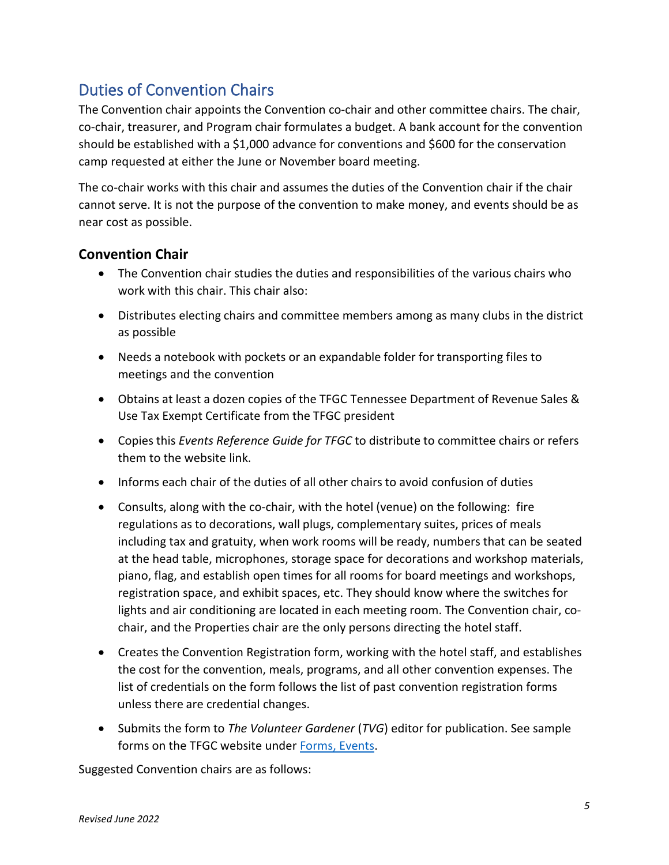# <span id="page-5-0"></span>Duties of Convention Chairs

The Convention chair appoints the Convention co-chair and other committee chairs. The chair, co-chair, treasurer, and Program chair formulates a budget. A bank account for the convention should be established with a \$1,000 advance for conventions and \$600 for the conservation camp requested at either the June or November board meeting.

The co-chair works with this chair and assumes the duties of the Convention chair if the chair cannot serve. It is not the purpose of the convention to make money, and events should be as near cost as possible.

# <span id="page-5-1"></span>**Convention Chair**

- The Convention chair studies the duties and responsibilities of the various chairs who work with this chair. This chair also:
- Distributes electing chairs and committee members among as many clubs in the district as possible
- Needs a notebook with pockets or an expandable folder for transporting files to meetings and the convention
- Obtains at least a dozen copies of the TFGC Tennessee Department of Revenue Sales & Use Tax Exempt Certificate from the TFGC president
- Copies this *Events Reference Guide for TFGC* to distribute to committee chairs or refers them to the website link.
- Informs each chair of the duties of all other chairs to avoid confusion of duties
- Consults, along with the co-chair, with the hotel (venue) on the following: fire regulations as to decorations, wall plugs, complementary suites, prices of meals including tax and gratuity, when work rooms will be ready, numbers that can be seated at the head table, microphones, storage space for decorations and workshop materials, piano, flag, and establish open times for all rooms for board meetings and workshops, registration space, and exhibit spaces, etc. They should know where the switches for lights and air conditioning are located in each meeting room. The Convention chair, cochair, and the Properties chair are the only persons directing the hotel staff.
- Creates the Convention Registration form, working with the hotel staff, and establishes the cost for the convention, meals, programs, and all other convention expenses. The list of credentials on the form follows the list of past convention registration forms unless there are credential changes.
- Submits the form to *The Volunteer Gardener* (*TVG*) editor for publication. See sample forms on the TFGC website under [Forms, Events.](https://www.tngardenclubs.org/forms/)

Suggested Convention chairs are as follows: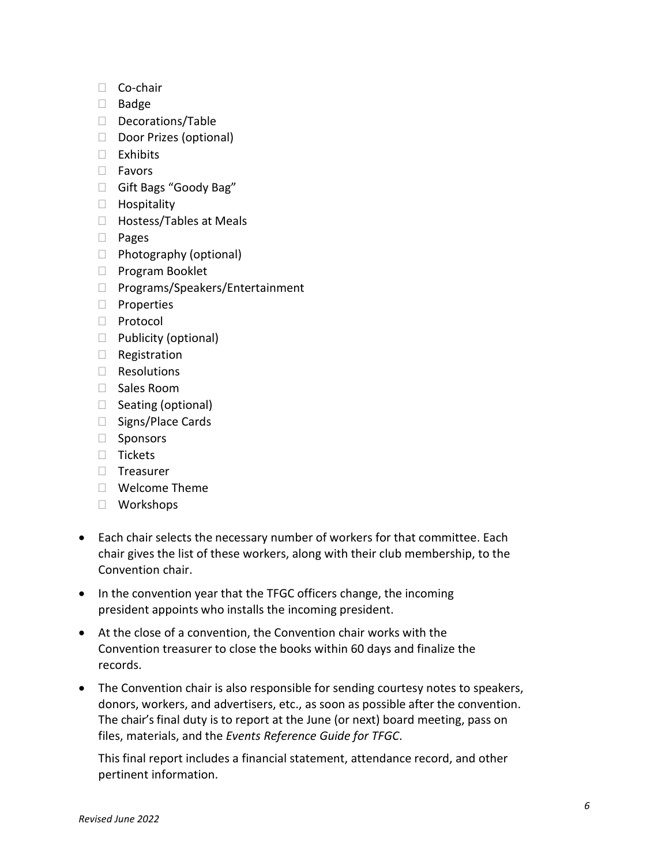- □ Co-chair
- Badge
- Decorations/Table
- Door Prizes (optional)
- Exhibits
- $\Box$  Favors
- □ Gift Bags "Goody Bag"
- $\Box$  Hospitality
- □ Hostess/Tables at Meals
- D Pages
- $\Box$  Photography (optional)
- □ Program Booklet
- D Programs/Speakers/Entertainment
- D Properties
- □ Protocol
- $\Box$  Publicity (optional)
- Registration
- Resolutions
- □ Sales Room
- $\Box$  Seating (optional)
- $\Box$  Signs/Place Cards
- □ Sponsors
- $\Box$  Tickets
- **Treasurer**
- Welcome Theme
- Workshops
- Each chair selects the necessary number of workers for that committee. Each chair gives the list of these workers, along with their club membership, to the Convention chair.
- In the convention year that the TFGC officers change, the incoming president appoints who installs the incoming president.
- At the close of a convention, the Convention chair works with the Convention treasurer to close the books within 60 days and finalize the records.
- The Convention chair is also responsible for sending courtesy notes to speakers, donors, workers, and advertisers, etc., as soon as possible after the convention. The chair's final duty is to report at the June (or next) board meeting, pass on files, materials, and the *Events Reference Guide for TFGC*.

This final report includes a financial statement, attendance record, and other pertinent information.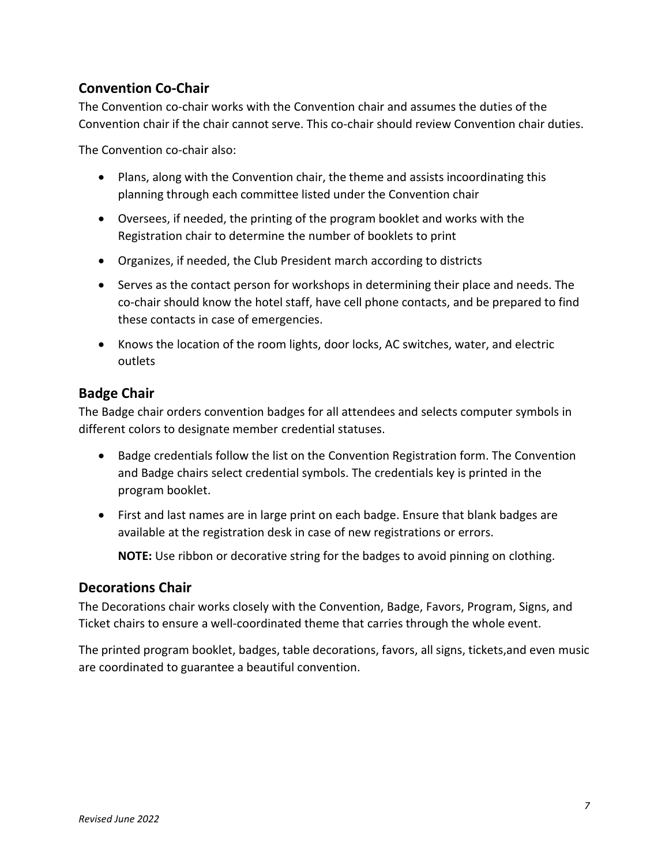# <span id="page-7-0"></span>**Convention Co-Chair**

The Convention co-chair works with the Convention chair and assumes the duties of the Convention chair if the chair cannot serve. This co-chair should review Convention chair duties.

The Convention co-chair also:

- Plans, along with the Convention chair, the theme and assists incoordinating this planning through each committee listed under the Convention chair
- Oversees, if needed, the printing of the program booklet and works with the Registration chair to determine the number of booklets to print
- Organizes, if needed, the Club President march according to districts
- Serves as the contact person for workshops in determining their place and needs. The co-chair should know the hotel staff, have cell phone contacts, and be prepared to find these contacts in case of emergencies.
- Knows the location of the room lights, door locks, AC switches, water, and electric outlets

# <span id="page-7-1"></span>**Badge Chair**

The Badge chair orders convention badges for all attendees and selects computer symbols in different colors to designate member credential statuses.

- Badge credentials follow the list on the Convention Registration form. The Convention and Badge chairs select credential symbols. The credentials key is printed in the program booklet.
- First and last names are in large print on each badge. Ensure that blank badges are available at the registration desk in case of new registrations or errors.

**NOTE:** Use ribbon or decorative string for the badges to avoid pinning on clothing.

## <span id="page-7-2"></span>**Decorations Chair**

The Decorations chair works closely with the Convention, Badge, Favors, Program, Signs, and Ticket chairs to ensure a well-coordinated theme that carries through the whole event.

The printed program booklet, badges, table decorations, favors, all signs, tickets,and even music are coordinated to guarantee a beautiful convention.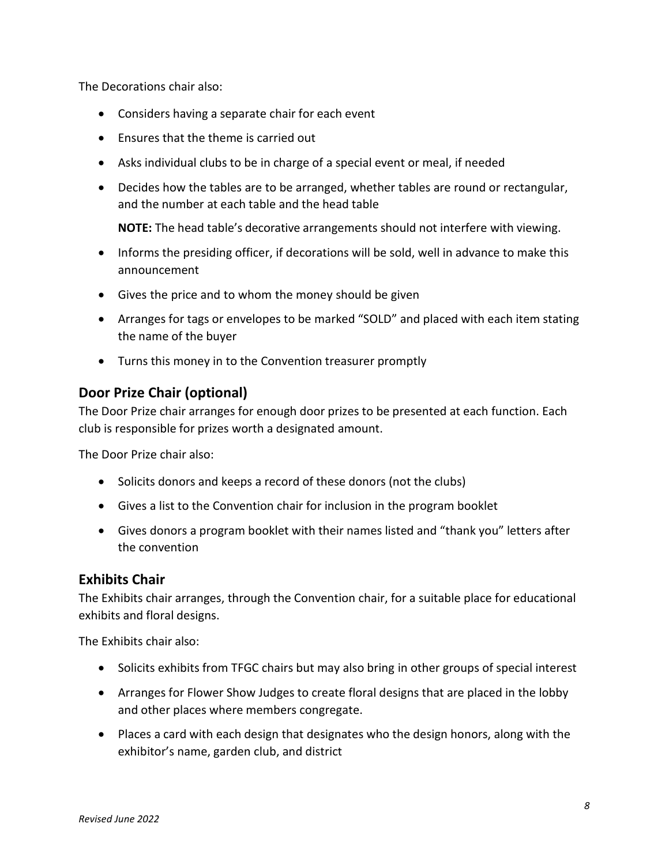The Decorations chair also:

- Considers having a separate chair for each event
- Ensures that the theme is carried out
- Asks individual clubs to be in charge of a special event or meal, if needed
- Decides how the tables are to be arranged, whether tables are round or rectangular, and the number at each table and the head table

**NOTE:** The head table's decorative arrangements should not interfere with viewing.

- Informs the presiding officer, if decorations will be sold, well in advance to make this announcement
- Gives the price and to whom the money should be given
- Arranges for tags or envelopes to be marked "SOLD" and placed with each item stating the name of the buyer
- Turns this money in to the Convention treasurer promptly

# <span id="page-8-0"></span>**Door Prize Chair (optional)**

The Door Prize chair arranges for enough door prizes to be presented at each function. Each club is responsible for prizes worth a designated amount.

The Door Prize chair also:

- Solicits donors and keeps a record of these donors (not the clubs)
- Gives a list to the Convention chair for inclusion in the program booklet
- Gives donors a program booklet with their names listed and "thank you" letters after the convention

## <span id="page-8-1"></span>**Exhibits Chair**

The Exhibits chair arranges, through the Convention chair, for a suitable place for educational exhibits and floral designs.

The Exhibits chair also:

- Solicits exhibits from TFGC chairs but may also bring in other groups of special interest
- Arranges for Flower Show Judges to create floral designs that are placed in the lobby and other places where members congregate.
- Places a card with each design that designates who the design honors, along with the exhibitor's name, garden club, and district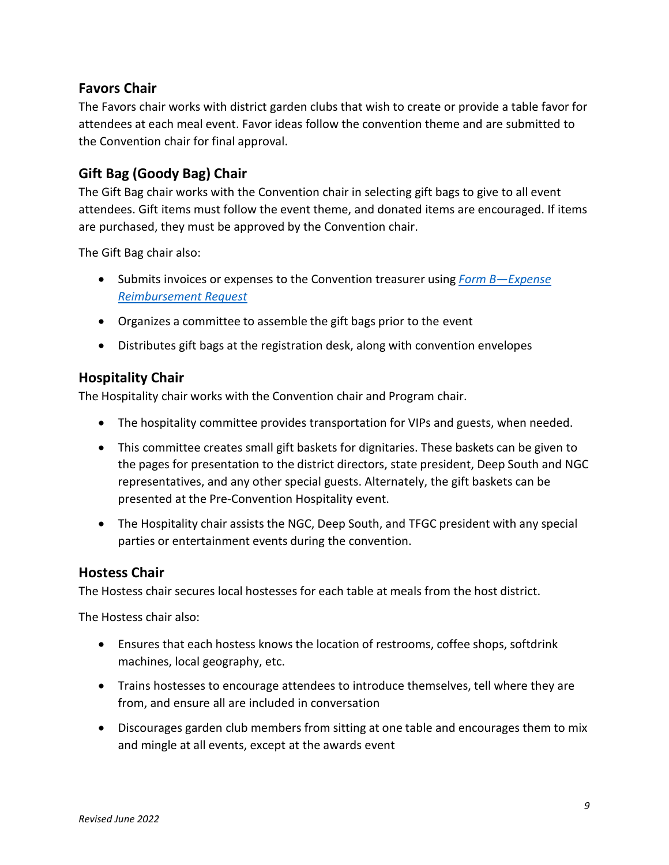# <span id="page-9-0"></span>**Favors Chair**

The Favors chair works with district garden clubs that wish to create or provide a table favor for attendees at each meal event. Favor ideas follow the convention theme and are submitted to the Convention chair for final approval.

# <span id="page-9-1"></span>**Gift Bag (Goody Bag) Chair**

The Gift Bag chair works with the Convention chair in selecting gift bags to give to all event attendees. Gift items must follow the event theme, and donated items are encouraged. If items are purchased, they must be approved by the Convention chair.

The Gift Bag chair also:

- Submits invoices or expenses to the Convention treasurer using *[Form B—Expense](https://www.tngardenclubs.org/wp-content/uploads/2022/01/Form-B-Expense-Reimbursement-Request-1.pdf)  [Reimbursement Request](https://www.tngardenclubs.org/wp-content/uploads/2022/01/Form-B-Expense-Reimbursement-Request-1.pdf)*
- Organizes a committee to assemble the gift bags prior to the event
- Distributes gift bags at the registration desk, along with convention envelopes

# <span id="page-9-2"></span>**Hospitality Chair**

The Hospitality chair works with the Convention chair and Program chair.

- The hospitality committee provides transportation for VIPs and guests, when needed.
- This committee creates small gift baskets for dignitaries. These baskets can be given to the pages for presentation to the district directors, state president, Deep South and NGC representatives, and any other special guests. Alternately, the gift baskets can be presented at the Pre-Convention Hospitality event.
- The Hospitality chair assists the NGC, Deep South, and TFGC president with any special parties or entertainment events during the convention.

# <span id="page-9-3"></span>**Hostess Chair**

The Hostess chair secures local hostesses for each table at meals from the host district.

The Hostess chair also:

- Ensures that each hostess knows the location of restrooms, coffee shops, softdrink machines, local geography, etc.
- Trains hostesses to encourage attendees to introduce themselves, tell where they are from, and ensure all are included in conversation
- Discourages garden club members from sitting at one table and encourages them to mix and mingle at all events, except at the awards event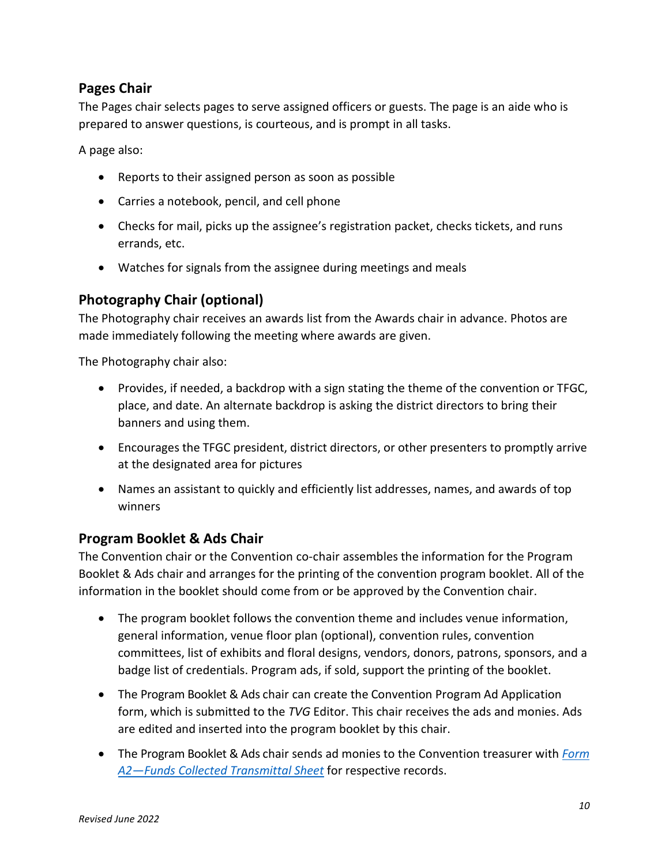# <span id="page-10-0"></span>**Pages Chair**

The Pages chair selects pages to serve assigned officers or guests. The page is an aide who is prepared to answer questions, is courteous, and is prompt in all tasks.

A page also:

- Reports to their assigned person as soon as possible
- Carries a notebook, pencil, and cell phone
- Checks for mail, picks up the assignee's registration packet, checks tickets, and runs errands, etc.
- Watches for signals from the assignee during meetings and meals

# <span id="page-10-1"></span>**Photography Chair (optional)**

The Photography chair receives an awards list from the Awards chair in advance. Photos are made immediately following the meeting where awards are given.

The Photography chair also:

- Provides, if needed, a backdrop with a sign stating the theme of the convention or TFGC, place, and date. An alternate backdrop is asking the district directors to bring their banners and using them.
- Encourages the TFGC president, district directors, or other presenters to promptly arrive at the designated area for pictures
- Names an assistant to quickly and efficiently list addresses, names, and awards of top winners

## <span id="page-10-2"></span>**Program Booklet & Ads Chair**

The Convention chair or the Convention co-chair assembles the information for the Program Booklet & Ads chair and arranges for the printing of the convention program booklet. All of the information in the booklet should come from or be approved by the Convention chair.

- The program booklet follows the convention theme and includes venue information, general information, venue floor plan (optional), convention rules, convention committees, list of exhibits and floral designs, vendors, donors, patrons, sponsors, and a badge list of credentials. Program ads, if sold, support the printing of the booklet.
- The Program Booklet & Ads chair can create the Convention Program Ad Application form, which is submitted to the *TVG* Editor. This chair receives the ads and monies. Ads are edited and inserted into the program booklet by this chair.
- The Program Booklet & Ads chair sends ad monies to the Convention treasurer with *[Form](https://www.tngardenclubs.org/wp-content/uploads/2022/01/A2-Funds-Collected-Transmittal-Sheet-1.pdf)  [A2—Funds Collected](https://www.tngardenclubs.org/wp-content/uploads/2022/01/A2-Funds-Collected-Transmittal-Sheet-1.pdf) Transmittal Sheet* for respective records.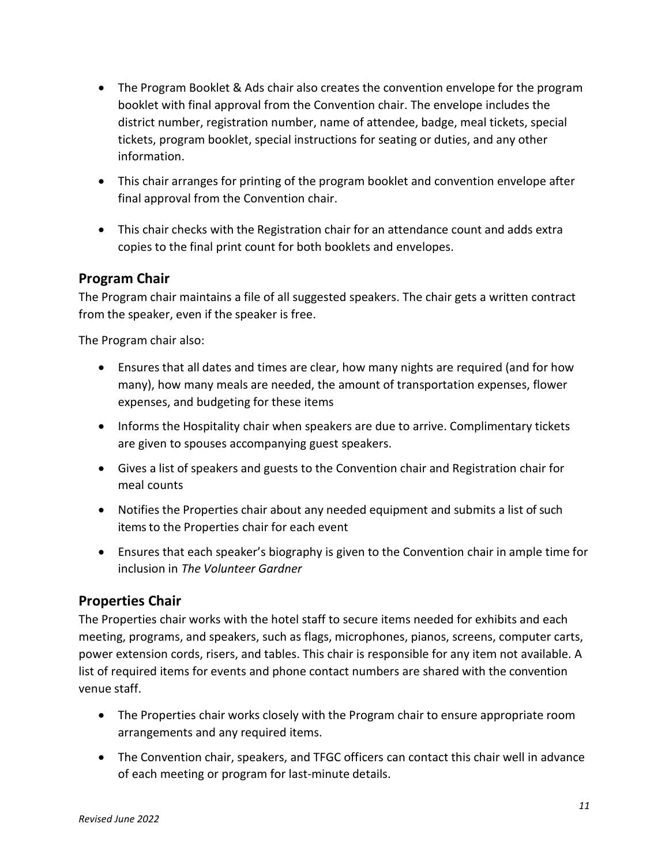- The Program Booklet & Ads chair also creates the convention envelope for the program booklet with final approval from the Convention chair. The envelope includes the district number, registration number, name of attendee, badge, meal tickets, special tickets, program booklet, special instructions for seating or duties, and any other information.
- This chair arranges for printing of the program booklet and convention envelope after final approval from the Convention chair.
- This chair checks with the Registration chair for an attendance count and adds extra copies to the final print count for both booklets and envelopes.

# <span id="page-11-0"></span>**Program Chair**

The Program chair maintains a file of all suggested speakers. The chair gets a written contract from the speaker, even if the speaker is free.

The Program chair also:

- Ensures that all dates and times are clear, how many nights are required (and for how many), how many meals are needed, the amount of transportation expenses, flower expenses, and budgeting for these items
- Informs the Hospitality chair when speakers are due to arrive. Complimentary tickets are given to spouses accompanying guest speakers.
- Gives a list of speakers and guests to the Convention chair and Registration chair for meal counts
- Notifies the Properties chair about any needed equipment and submits a list of such items to the Properties chair for each event
- Ensures that each speaker's biography is given to the Convention chair in ample time for inclusion in *The Volunteer Gardner*

# <span id="page-11-1"></span>**Properties Chair**

The Properties chair works with the hotel staff to secure items needed for exhibits and each meeting, programs, and speakers, such as flags, microphones, pianos, screens, computer carts, power extension cords, risers, and tables. This chair is responsible for any item not available. A list of required items for events and phone contact numbers are shared with the convention venue staff.

- The Properties chair works closely with the Program chair to ensure appropriate room arrangements and any required items.
- The Convention chair, speakers, and TFGC officers can contact this chair well in advance of each meeting or program for last-minute details.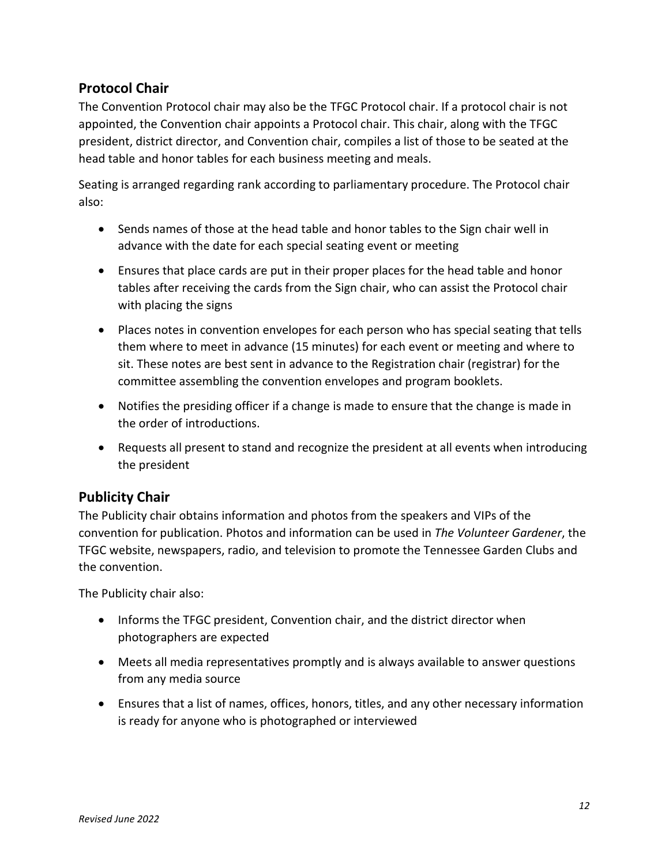# <span id="page-12-0"></span>**Protocol Chair**

The Convention Protocol chair may also be the TFGC Protocol chair. If a protocol chair is not appointed, the Convention chair appoints a Protocol chair. This chair, along with the TFGC president, district director, and Convention chair, compiles a list of those to be seated at the head table and honor tables for each business meeting and meals.

Seating is arranged regarding rank according to parliamentary procedure. The Protocol chair also:

- Sends names of those at the head table and honor tables to the Sign chair well in advance with the date for each special seating event or meeting
- Ensures that place cards are put in their proper places for the head table and honor tables after receiving the cards from the Sign chair, who can assist the Protocol chair with placing the signs
- Places notes in convention envelopes for each person who has special seating that tells them where to meet in advance (15 minutes) for each event or meeting and where to sit. These notes are best sent in advance to the Registration chair (registrar) for the committee assembling the convention envelopes and program booklets.
- Notifies the presiding officer if a change is made to ensure that the change is made in the order of introductions.
- Requests all present to stand and recognize the president at all events when introducing the president

# <span id="page-12-1"></span>**Publicity Chair**

The Publicity chair obtains information and photos from the speakers and VIPs of the convention for publication. Photos and information can be used in *The Volunteer Gardener*, the TFGC website, newspapers, radio, and television to promote the Tennessee Garden Clubs and the convention.

The Publicity chair also:

- Informs the TFGC president, Convention chair, and the district director when photographers are expected
- Meets all media representatives promptly and is always available to answer questions from any media source
- Ensures that a list of names, offices, honors, titles, and any other necessary information is ready for anyone who is photographed or interviewed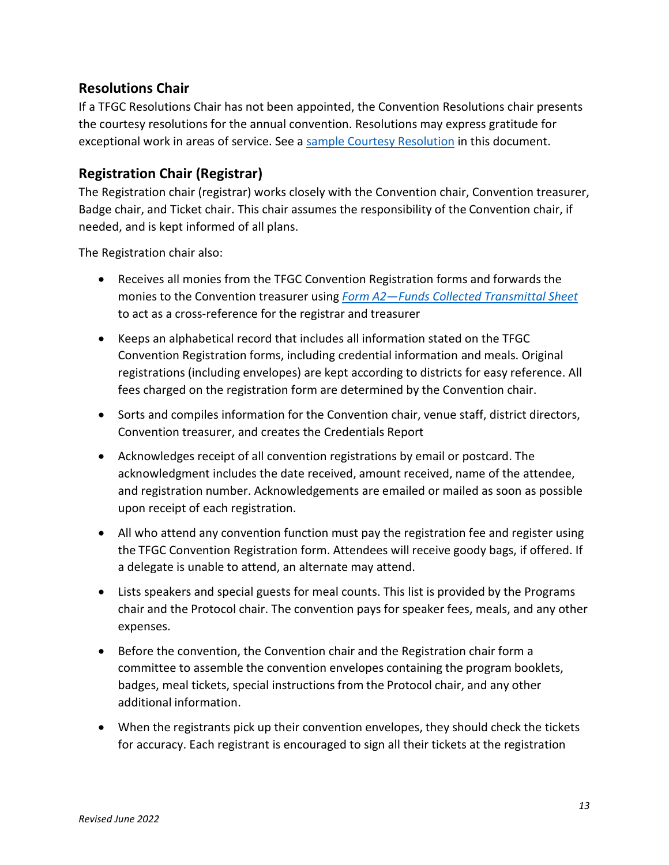# <span id="page-13-0"></span>**Resolutions Chair**

If a TFGC Resolutions Chair has not been appointed, the Convention Resolutions chair presents the courtesy resolutions for the annual convention. Resolutions may express gratitude for exceptional work in areas of service. See a [sample Courtesy Resolution](#page-27-0) in this document.

# <span id="page-13-1"></span>**Registration Chair (Registrar)**

The Registration chair (registrar) works closely with the Convention chair, Convention treasurer, Badge chair, and Ticket chair. This chair assumes the responsibility of the Convention chair, if needed, and is kept informed of all plans.

The Registration chair also:

- Receives all monies from the TFGC Convention Registration forms and forwards the monies to the Convention treasurer using *[Form A2—Funds Collected](https://www.tngardenclubs.org/wp-content/uploads/2022/01/A2-Funds-Collected-Transmittal-Sheet-1.pdf) Transmittal Sheet* to act as a cross-reference for the registrar and treasurer
- Keeps an alphabetical record that includes all information stated on the TFGC Convention Registration forms, including credential information and meals. Original registrations (including envelopes) are kept according to districts for easy reference. All fees charged on the registration form are determined by the Convention chair.
- Sorts and compiles information for the Convention chair, venue staff, district directors, Convention treasurer, and creates the Credentials Report
- Acknowledges receipt of all convention registrations by email or postcard. The acknowledgment includes the date received, amount received, name of the attendee, and registration number. Acknowledgements are emailed or mailed as soon as possible upon receipt of each registration.
- All who attend any convention function must pay the registration fee and register using the TFGC Convention Registration form. Attendees will receive goody bags, if offered. If a delegate is unable to attend, an alternate may attend.
- Lists speakers and special guests for meal counts. This list is provided by the Programs chair and the Protocol chair. The convention pays for speaker fees, meals, and any other expenses.
- Before the convention, the Convention chair and the Registration chair form a committee to assemble the convention envelopes containing the program booklets, badges, meal tickets, special instructions from the Protocol chair, and any other additional information.
- When the registrants pick up their convention envelopes, they should check the tickets for accuracy. Each registrant is encouraged to sign all their tickets at the registration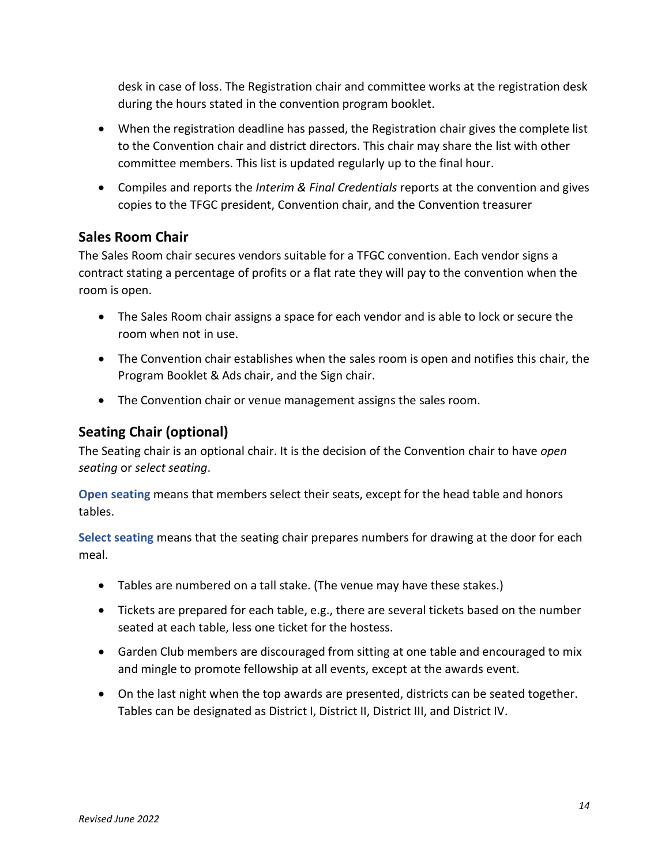desk in case of loss. The Registration chair and committee works at the registration desk during the hours stated in the convention program booklet.

- When the registration deadline has passed, the Registration chair gives the complete list to the Convention chair and district directors. This chair may share the list with other committee members. This list is updated regularly up to the final hour.
- Compiles and reports the *Interim & Final Credentials* reports at the convention and gives copies to the TFGC president, Convention chair, and the Convention treasurer

# <span id="page-14-0"></span>**Sales Room Chair**

The Sales Room chair secures vendors suitable for a TFGC convention. Each vendor signs a contract stating a percentage of profits or a flat rate they will pay to the convention when the room is open.

- The Sales Room chair assigns a space for each vendor and is able to lock or secure the room when not in use.
- The Convention chair establishes when the sales room is open and notifies this chair, the Program Booklet & Ads chair, and the Sign chair.
- The Convention chair or venue management assigns the sales room.

# <span id="page-14-1"></span>**Seating Chair (optional)**

The Seating chair is an optional chair. It is the decision of the Convention chair to have *open seating* or *select seating*.

**Open seating** means that members select their seats, except for the head table and honors tables.

**Select seating** means that the seating chair prepares numbers for drawing at the door for each meal.

- Tables are numbered on a tall stake. (The venue may have these stakes.)
- Tickets are prepared for each table, e.g., there are several tickets based on the number seated at each table, less one ticket for the hostess.
- Garden Club members are discouraged from sitting at one table and encouraged to mix and mingle to promote fellowship at all events, except at the awards event.
- On the last night when the top awards are presented, districts can be seated together. Tables can be designated as District I, District II, District III, and District IV.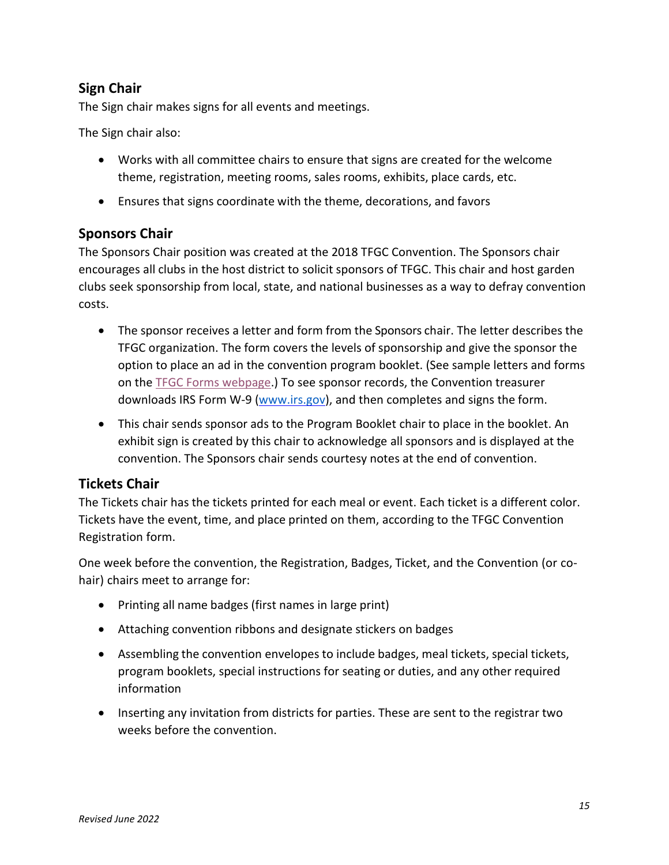# <span id="page-15-0"></span>**Sign Chair**

The Sign chair makes signs for all events and meetings.

The Sign chair also:

- Works with all committee chairs to ensure that signs are created for the welcome theme, registration, meeting rooms, sales rooms, exhibits, place cards, etc.
- Ensures that signs coordinate with the theme, decorations, and favors

# <span id="page-15-1"></span>**Sponsors Chair**

The Sponsors Chair position was created at the 2018 TFGC Convention. The Sponsors chair encourages all clubs in the host district to solicit sponsors of TFGC. This chair and host garden clubs seek sponsorship from local, state, and national businesses as a way to defray convention costs.

- The sponsor receives a letter and form from the Sponsors chair. The letter describes the TFGC organization. The form covers the levels of sponsorship and give the sponsor the option to place an ad in the convention program booklet. (See sample letters and forms on the [TFGC Forms webpage.](https://www.tngardenclubs.org/forms/)) To see sponsor records, the Convention treasurer downloads IRS Form W-9 [\(www.irs.gov\)](http://www.irs.gov/), and then completes and signs the form.
- This chair sends sponsor ads to the Program Booklet chair to place in the booklet. An exhibit sign is created by this chair to acknowledge all sponsors and is displayed at the convention. The Sponsors chair sends courtesy notes at the end of convention.

# <span id="page-15-2"></span>**Tickets Chair**

The Tickets chair has the tickets printed for each meal or event. Each ticket is a different color. Tickets have the event, time, and place printed on them, according to the TFGC Convention Registration form.

One week before the convention, the Registration, Badges, Ticket, and the Convention (or cohair) chairs meet to arrange for:

- Printing all name badges (first names in large print)
- Attaching convention ribbons and designate stickers on badges
- Assembling the convention envelopes to include badges, meal tickets, special tickets, program booklets, special instructions for seating or duties, and any other required information
- Inserting any invitation from districts for parties. These are sent to the registrar two weeks before the convention.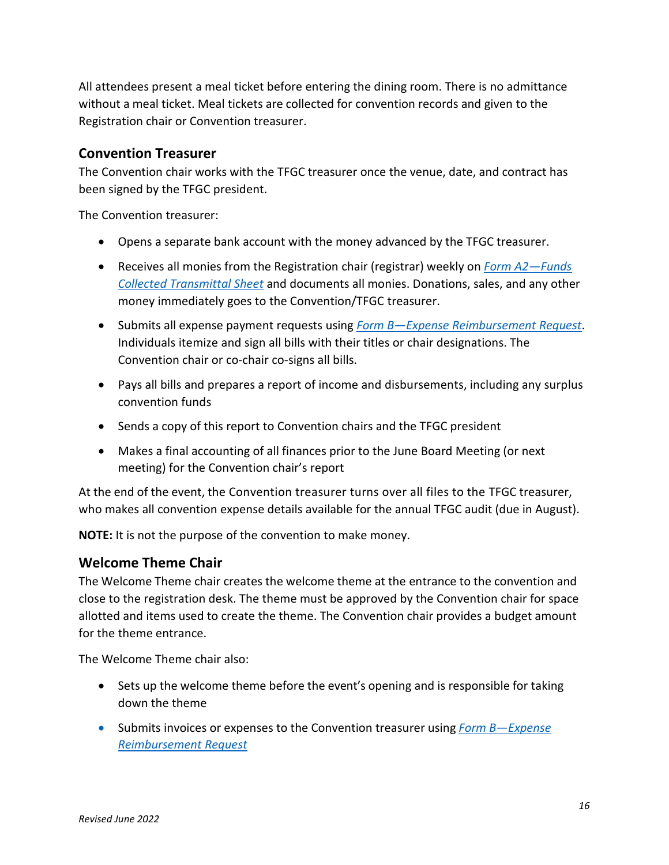All attendees present a meal ticket before entering the dining room. There is no admittance without a meal ticket. Meal tickets are collected for convention records and given to the Registration chair or Convention treasurer.

# <span id="page-16-0"></span>**Convention Treasurer**

The Convention chair works with the TFGC treasurer once the venue, date, and contract has been signed by the TFGC president.

The Convention treasurer:

- Opens a separate bank account with the money advanced by the TFGC treasurer.
- Receives all monies from the Registration chair (registrar) weekly on *[Form A2—Funds](https://www.tngardenclubs.org/wp-content/uploads/2022/01/A2-Funds-Collected-Transmittal-Sheet-1.pdf)  [Collected Transmittal Sheet](https://www.tngardenclubs.org/wp-content/uploads/2022/01/A2-Funds-Collected-Transmittal-Sheet-1.pdf)* and documents all monies. Donations, sales, and any other money immediately goes to the Convention/TFGC treasurer.
- Submits all expense payment requests using *[Form B—Expense Reimbursement Request](https://www.tngardenclubs.org/wp-content/uploads/2022/01/Form-B-Expense-Reimbursement-Request-1.pdf)*. Individuals itemize and sign all bills with their titles or chair designations. The Convention chair or co-chair co-signs all bills.
- Pays all bills and prepares a report of income and disbursements, including any surplus convention funds
- Sends a copy of this report to Convention chairs and the TFGC president
- Makes a final accounting of all finances prior to the June Board Meeting (or next meeting) for the Convention chair's report

At the end of the event, the Convention treasurer turns over all files to the TFGC treasurer, who makes all convention expense details available for the annual TFGC audit (due in August).

**NOTE:** It is not the purpose of the convention to make money.

# <span id="page-16-1"></span>**Welcome Theme Chair**

The Welcome Theme chair creates the welcome theme at the entrance to the convention and close to the registration desk. The theme must be approved by the Convention chair for space allotted and items used to create the theme. The Convention chair provides a budget amount for the theme entrance.

The Welcome Theme chair also:

- Sets up the welcome theme before the event's opening and is responsible for taking down the theme
- Submits invoices or expenses to the Convention treasurer using *[Form B—Expense](https://www.tngardenclubs.org/wp-content/uploads/2022/01/Form-B-Expense-Reimbursement-Request-1.pdf)  [Reimbursement Request](https://www.tngardenclubs.org/wp-content/uploads/2022/01/Form-B-Expense-Reimbursement-Request-1.pdf)*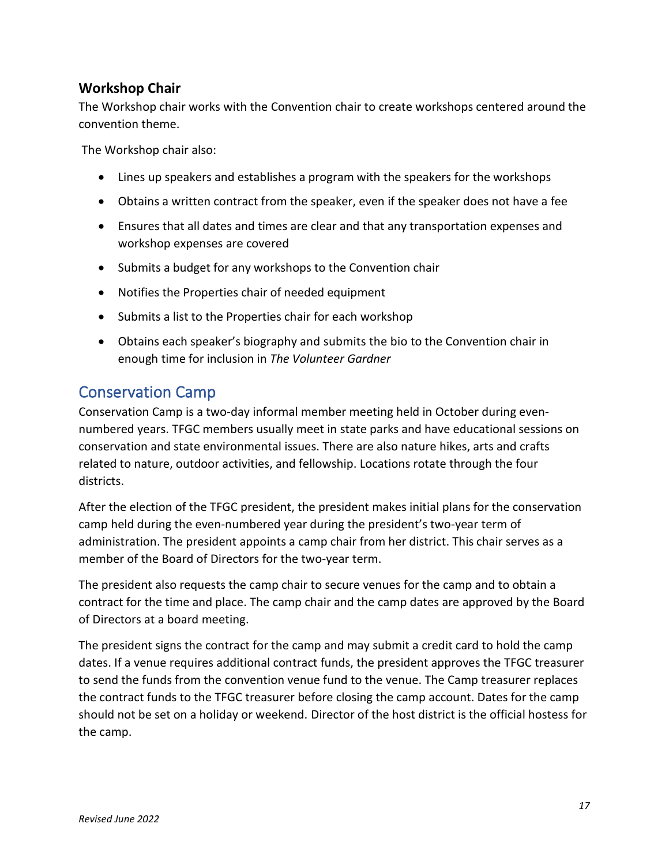# <span id="page-17-0"></span>**Workshop Chair**

The Workshop chair works with the Convention chair to create workshops centered around the convention theme.

The Workshop chair also:

- Lines up speakers and establishes a program with the speakers for the workshops
- Obtains a written contract from the speaker, even if the speaker does not have a fee
- Ensures that all dates and times are clear and that any transportation expenses and workshop expenses are covered
- Submits a budget for any workshops to the Convention chair
- Notifies the Properties chair of needed equipment
- Submits a list to the Properties chair for each workshop
- Obtains each speaker's biography and submits the bio to the Convention chair in enough time for inclusion in *The Volunteer Gardner*

# <span id="page-17-1"></span>Conservation Camp

Conservation Camp is a two-day informal member meeting held in October during evennumbered years. TFGC members usually meet in state parks and have educational sessions on conservation and state environmental issues. There are also nature hikes, arts and crafts related to nature, outdoor activities, and fellowship. Locations rotate through the four districts.

After the election of the TFGC president, the president makes initial plans for the conservation camp held during the even-numbered year during the president's two-year term of administration. The president appoints a camp chair from her district. This chair serves as a member of the Board of Directors for the two-year term.

The president also requests the camp chair to secure venues for the camp and to obtain a contract for the time and place. The camp chair and the camp dates are approved by the Board of Directors at a board meeting.

The president signs the contract for the camp and may submit a credit card to hold the camp dates. If a venue requires additional contract funds, the president approves the TFGC treasurer to send the funds from the convention venue fund to the venue. The Camp treasurer replaces the contract funds to the TFGC treasurer before closing the camp account. Dates for the camp should not be set on a holiday or weekend. Director of the host district is the official hostess for the camp.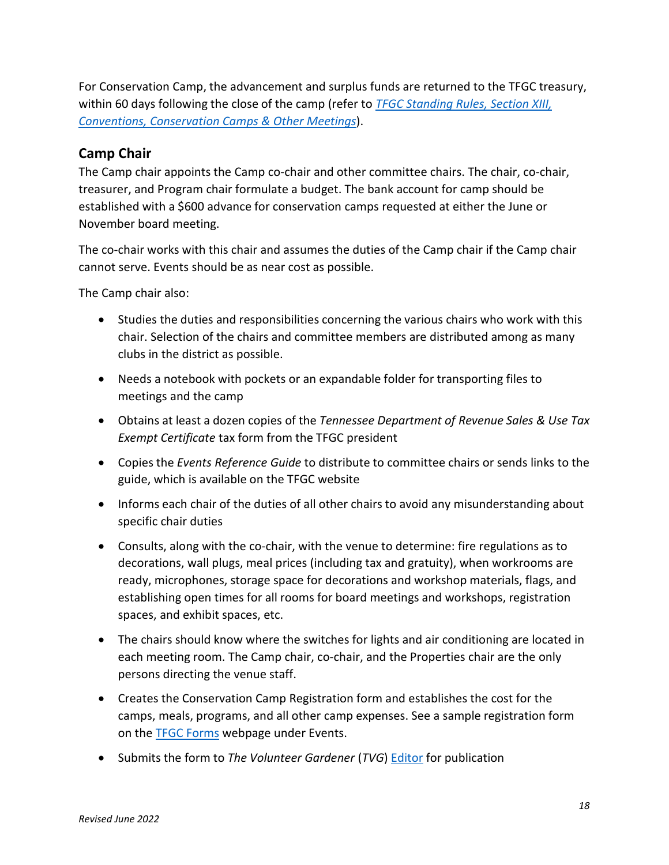For Conservation Camp, the advancement and surplus funds are returned to the TFGC treasury, within 60 days following the close of the camp (refer to *[TFGC Standing Rules, Section XIII,](https://www.tngardenclubs.org/governance-docs/)  [Conventions, Conservation Camps & Other Meetings](https://www.tngardenclubs.org/governance-docs/)*).

# <span id="page-18-0"></span>**Camp Chair**

The Camp chair appoints the Camp co-chair and other committee chairs. The chair, co-chair, treasurer, and Program chair formulate a budget. The bank account for camp should be established with a \$600 advance for conservation camps requested at either the June or November board meeting.

The co-chair works with this chair and assumes the duties of the Camp chair if the Camp chair cannot serve. Events should be as near cost as possible.

The Camp chair also:

- Studies the duties and responsibilities concerning the various chairs who work with this chair. Selection of the chairs and committee members are distributed among as many clubs in the district as possible.
- Needs a notebook with pockets or an expandable folder for transporting files to meetings and the camp
- Obtains at least a dozen copies of the *Tennessee Department of Revenue Sales & Use Tax Exempt Certificate* tax form from the TFGC president
- Copies the *Events Reference Guide* to distribute to committee chairs or sends links to the guide, which is available on the TFGC website
- Informs each chair of the duties of all other chairs to avoid any misunderstanding about specific chair duties
- Consults, along with the co-chair, with the venue to determine: fire regulations as to decorations, wall plugs, meal prices (including tax and gratuity), when workrooms are ready, microphones, storage space for decorations and workshop materials, flags, and establishing open times for all rooms for board meetings and workshops, registration spaces, and exhibit spaces, etc.
- The chairs should know where the switches for lights and air conditioning are located in each meeting room. The Camp chair, co-chair, and the Properties chair are the only persons directing the venue staff.
- Creates the Conservation Camp Registration form and establishes the cost for the camps, meals, programs, and all other camp expenses. See a sample registration form on the [TFGC Forms](https://www.tngardenclubs.org/forms/) webpage under Events.
- Submits the form to *The Volunteer Gardener* (*TVG*) [Editor](mailto:annekrekelberg@reagan.com) for publication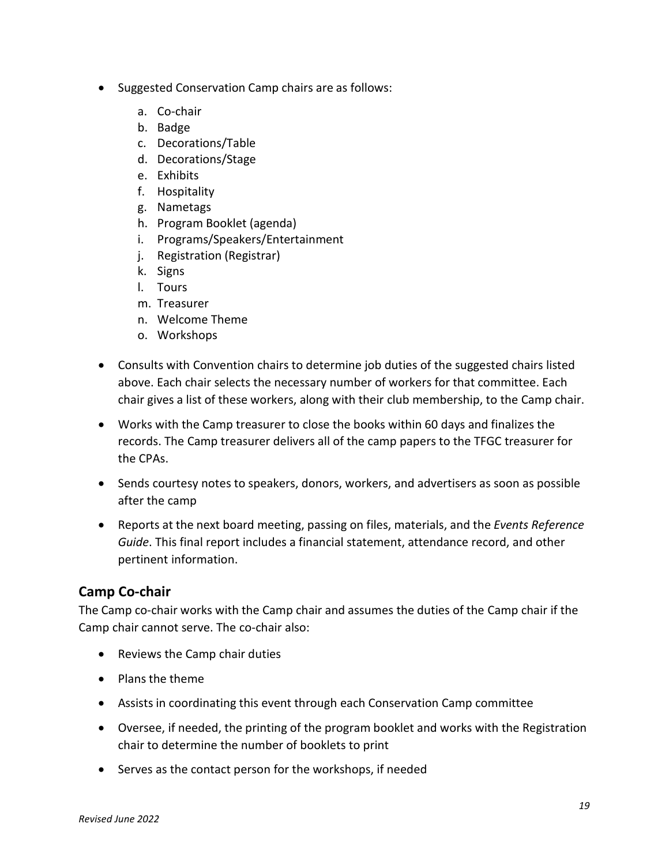- Suggested Conservation Camp chairs are as follows:
	- a. Co-chair
	- b. Badge
	- c. Decorations/Table
	- d. Decorations/Stage
	- e. Exhibits
	- f. Hospitality
	- g. Nametags
	- h. Program Booklet (agenda)
	- i. Programs/Speakers/Entertainment
	- j. Registration (Registrar)
	- k. Signs
	- l. Tours
	- m. Treasurer
	- n. Welcome Theme
	- o. Workshops
- Consults with Convention chairs to determine job duties of the suggested chairs listed above. Each chair selects the necessary number of workers for that committee. Each chair gives a list of these workers, along with their club membership, to the Camp chair.
- Works with the Camp treasurer to close the books within 60 days and finalizes the records. The Camp treasurer delivers all of the camp papers to the TFGC treasurer for the CPAs.
- Sends courtesy notes to speakers, donors, workers, and advertisers as soon as possible after the camp
- Reports at the next board meeting, passing on files, materials, and the *Events Reference Guide*. This final report includes a financial statement, attendance record, and other pertinent information.

## <span id="page-19-0"></span>**Camp Co-chair**

The Camp co-chair works with the Camp chair and assumes the duties of the Camp chair if the Camp chair cannot serve. The co-chair also:

- Reviews the Camp chair duties
- Plans the theme
- Assists in coordinating this event through each Conservation Camp committee
- Oversee, if needed, the printing of the program booklet and works with the Registration chair to determine the number of booklets to print
- Serves as the contact person for the workshops, if needed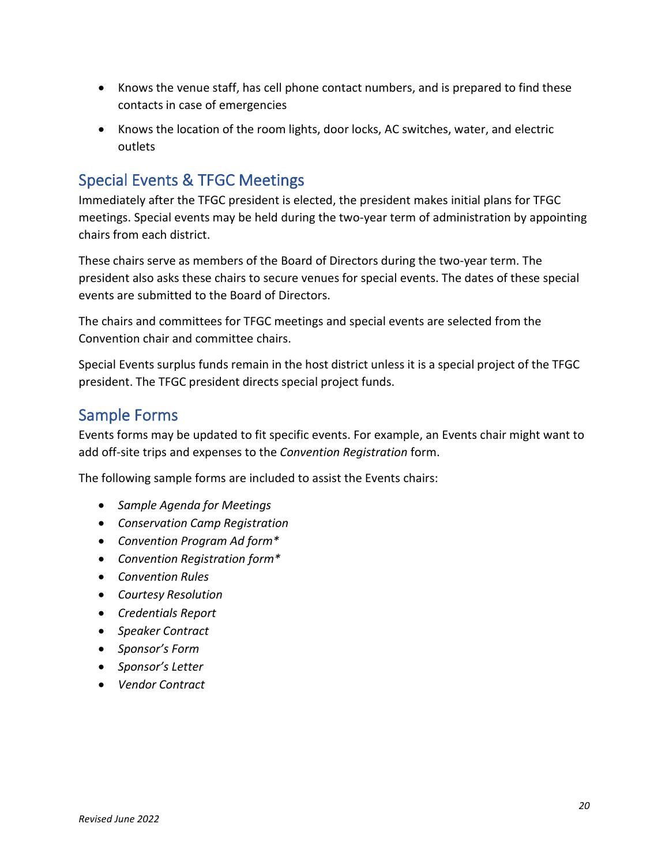- Knows the venue staff, has cell phone contact numbers, and is prepared to find these contacts in case of emergencies
- Knows the location of the room lights, door locks, AC switches, water, and electric outlets

# <span id="page-20-0"></span>Special Events & TFGC Meetings

Immediately after the TFGC president is elected, the president makes initial plans for TFGC meetings. Special events may be held during the two-year term of administration by appointing chairs from each district.

These chairs serve as members of the Board of Directors during the two-year term. The president also asks these chairs to secure venues for special events. The dates of these special events are submitted to the Board of Directors.

The chairs and committees for TFGC meetings and special events are selected from the Convention chair and committee chairs.

Special Events surplus funds remain in the host district unless it is a special project of the TFGC president. The TFGC president directs special project funds.

# <span id="page-20-1"></span>Sample Forms

Events forms may be updated to fit specific events. For example, an Events chair might want to add off-site trips and expenses to the *Convention Registration* form.

The following sample forms are included to assist the Events chairs:

- *Sample Agenda for Meetings*
- *Conservation Camp Registration*
- *Convention Program Ad form\**
- *Convention Registration form\**
- *Convention Rules*
- *Courtesy Resolution*
- *Credentials Report*
- *Speaker Contract*
- *Sponsor's Form*
- *Sponsor's Letter*
- *Vendor Contract*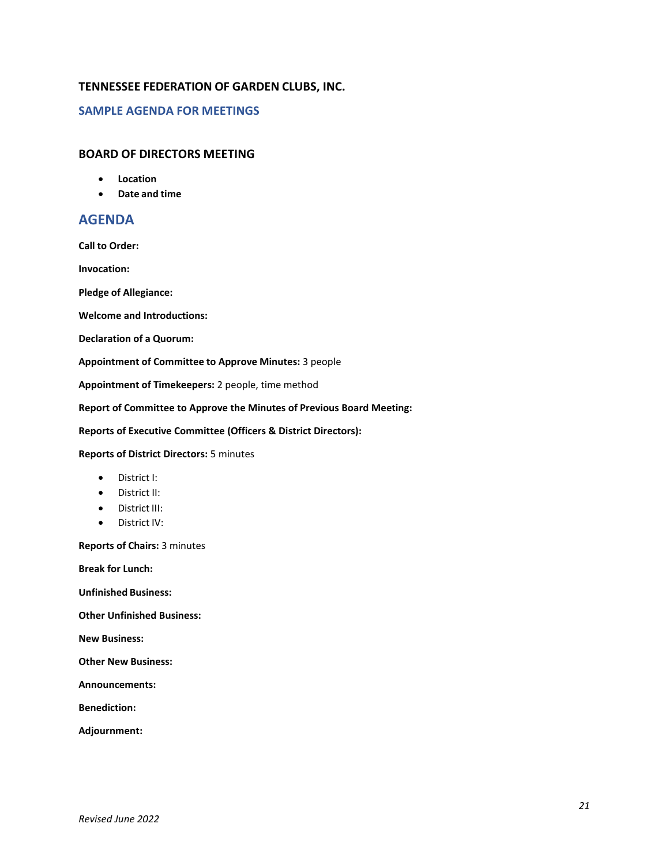#### <span id="page-21-0"></span>**SAMPLE AGENDA FOR MEETINGS**

#### **BOARD OF DIRECTORS MEETING**

- **Location**
- **Date and time**

## **AGENDA**

**Call to Order:**

**Invocation:**

**Pledge of Allegiance:**

**Welcome and Introductions:**

**Declaration of a Quorum:**

**Appointment of Committee to Approve Minutes:** 3 people

**Appointment of Timekeepers:** 2 people, time method

**Report of Committee to Approve the Minutes of Previous Board Meeting:**

**Reports of Executive Committee (Officers & District Directors):**

**Reports of District Directors:** 5 minutes

- District I:
- District II:
- District III:
- District IV:

**Reports of Chairs:** 3 minutes

**Break for Lunch:**

**Unfinished Business:**

**Other Unfinished Business:**

**New Business:**

**Other New Business:**

**Announcements:**

**Benediction:**

**Adjournment:**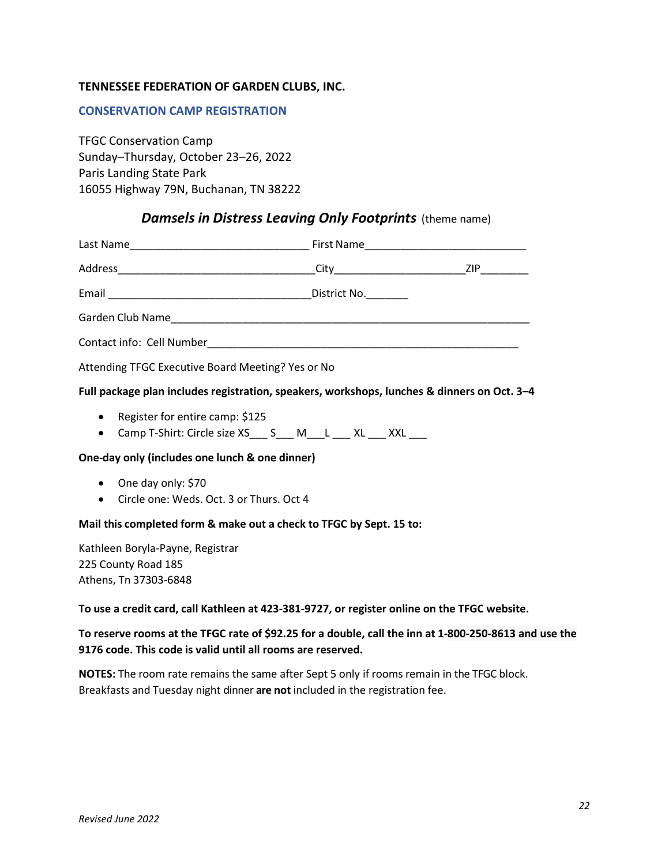#### <span id="page-22-0"></span>**CONSERVATION CAMP REGISTRATION**

TFGC Conservation Camp Sunday–Thursday, October 23–26, 2022 Paris Landing State Park 16055 Highway 79N, Buchanan, TN 38222

## *Damsels in Distress Leaving Only Footprints* (theme name)

|                                                                                                                |              | ZIP |
|----------------------------------------------------------------------------------------------------------------|--------------|-----|
| Email 2008 2009 2010 2021 2022 2023 2024 2022 2022 2023 2024 2022 2023 2024 2022 2023 2024 2022 2023 2024 2025 | District No. |     |
|                                                                                                                |              |     |
|                                                                                                                |              |     |
| Attending TFGC Executive Board Meeting? Yes or No                                                              |              |     |

#### **Full package plan includes registration, speakers, workshops, lunches & dinners on Oct. 3–4**

- Register for entire camp: \$125
- Camp T-Shirt: Circle size XS\_\_\_ S\_\_\_ M\_\_\_L \_\_\_ XL \_\_\_ XXL \_\_\_

#### **One-day only (includes one lunch & one dinner)**

- One day only: \$70
- Circle one: Weds. Oct. 3 or Thurs. Oct 4

#### **Mail this completed form & make out a check to TFGC by Sept. 15 to:**

Kathleen Boryla-Payne, Registrar 225 County Road 185 Athens, Tn 37303-6848

**To use a credit card, call Kathleen at 423-381-9727, or register online on the TFGC website.**

## **To reserve rooms at the TFGC rate of \$92.25 for a double, call the inn at 1-800-250-8613 and use the 9176 code. This code is valid until all rooms are reserved.**

**NOTES:** The room rate remains the same after Sept 5 only if rooms remain in the TFGC block. Breakfasts and Tuesday night dinner **are not** included in the registration fee.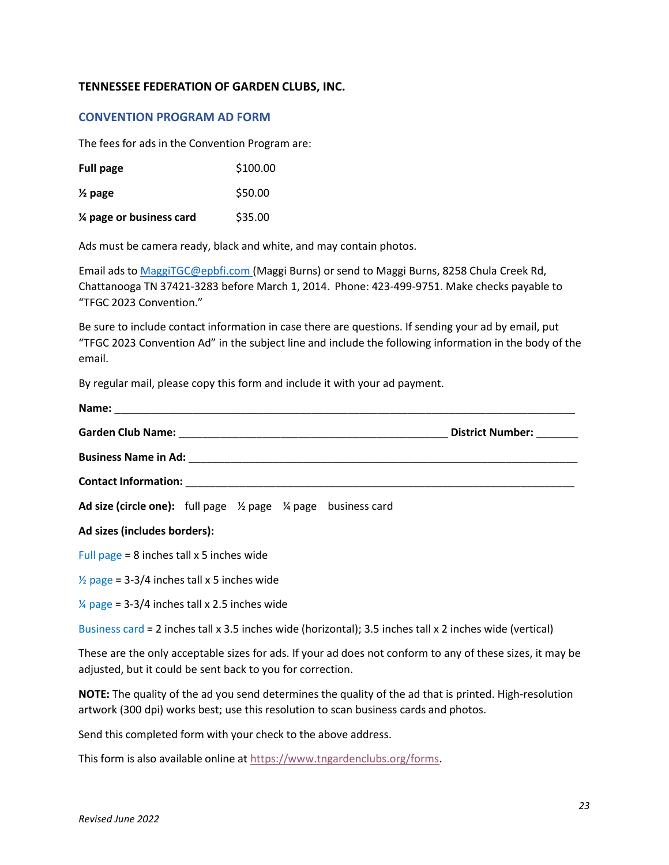#### <span id="page-23-0"></span>**CONVENTION PROGRAM AD FORM**

The fees for ads in the Convention Program are:

| <b>Full page</b>          | \$100.00 |
|---------------------------|----------|
| $\frac{1}{2}$ page        | \$50.00  |
| 1/4 page or business card | \$35.00  |

Ads must be camera ready, black and white, and may contain photos.

Email ads t[o MaggiTGC@epbfi.com \(](mailto:MaggiTFGC@epbfi.com)Maggi Burns) or send to Maggi Burns, 8258 Chula Creek Rd, Chattanooga TN 37421-3283 before March 1, 2014. Phone: 423-499-9751. Make checks payable to "TFGC 2023 Convention."

Be sure to include contact information in case there are questions. If sending your ad by email, put "TFGC 2023 Convention Ad" in the subject line and include the following information in the body of the email.

By regular mail, please copy this form and include it with your ad payment.

| Name:                                                                                      |                         |
|--------------------------------------------------------------------------------------------|-------------------------|
|                                                                                            | <b>District Number:</b> |
|                                                                                            |                         |
|                                                                                            |                         |
| <b>Ad size (circle one):</b> full page $\frac{1}{2}$ page $\frac{1}{4}$ page business card |                         |
| Ad sizes (includes borders):                                                               |                         |
| Full page = $8$ inches tall $x$ 5 inches wide                                              |                         |
| $\frac{1}{2}$ page = 3-3/4 inches tall x 5 inches wide                                     |                         |

 $\frac{1}{4}$  page = 3-3/4 inches tall x 2.5 inches wide

Business card = 2 inches tall x 3.5 inches wide (horizontal); 3.5 inches tall x 2 inches wide (vertical)

These are the only acceptable sizes for ads. If your ad does not conform to any of these sizes, it may be adjusted, but it could be sent back to you for correction.

**NOTE:** The quality of the ad you send determines the quality of the ad that is printed. High-resolution artwork (300 dpi) works best; use this resolution to scan business cards and photos.

Send this completed form with your check to the above address.

This form is also available online at [https://www.tngardenclubs.org/forms.](https://www.tngardenclubs.org/forms)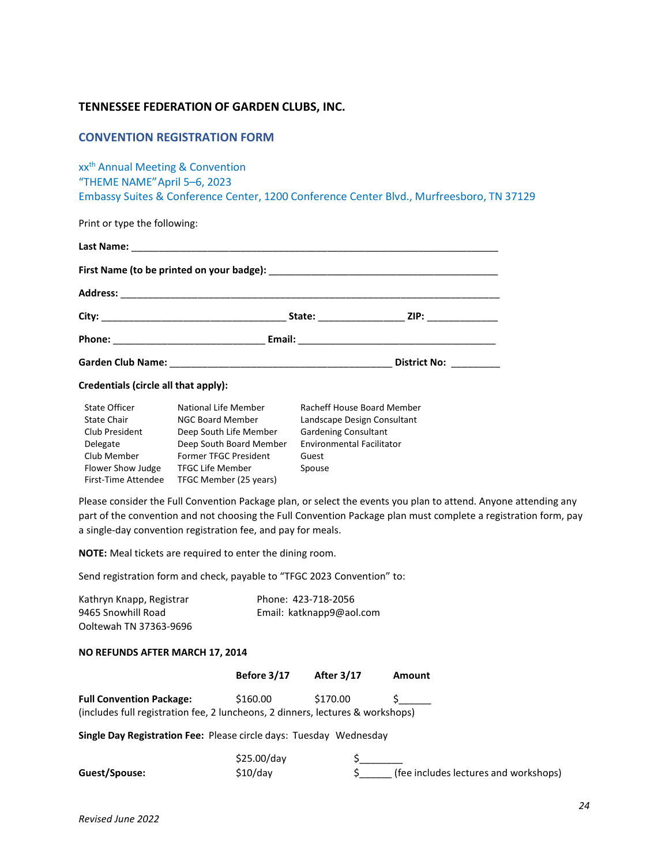#### <span id="page-24-0"></span>**CONVENTION REGISTRATION FORM**

xxth Annual Meeting & Convention "THEME NAME"April 5–6, 2023 Embassy Suites & Conference Center, 1200 Conference Center Blvd., Murfreesboro, TN 37129

Print or type the following:  $\textsf{Last Name:}$ **First Name (to be printed on your badge):** \_\_\_\_\_\_\_\_\_\_\_\_\_\_\_\_\_\_\_\_\_\_\_\_\_\_\_\_\_\_\_\_\_\_\_\_\_\_\_\_\_\_\_  $\bf Address:$ **City:** \_\_\_\_\_\_\_\_\_\_\_\_\_\_\_\_\_\_\_\_\_\_\_\_\_\_\_\_\_\_\_\_\_\_ **State:** \_\_\_\_\_\_\_\_\_\_\_\_\_\_\_\_ **ZIP:** \_\_\_\_\_\_\_\_\_\_\_\_\_ **Phone:** \_\_\_\_\_\_\_\_\_\_\_\_\_\_\_\_\_\_\_\_\_\_\_\_\_\_\_\_ **Email:** \_\_\_\_\_\_\_\_\_\_\_\_\_\_\_\_\_\_\_\_\_\_\_\_\_\_\_\_\_\_\_\_\_\_\_\_\_ **Garden Club Name:** \_\_\_\_\_\_\_\_\_\_\_\_\_\_\_\_\_\_\_\_\_\_\_\_\_\_\_\_\_\_\_\_\_\_\_\_\_\_\_\_\_ **District No:** \_\_\_\_\_\_\_\_\_

#### **Credentials (circle all that apply):**

| <b>State Officer</b> | National Life Member    | Racheff House Board Member       |
|----------------------|-------------------------|----------------------------------|
| <b>State Chair</b>   | <b>NGC Board Member</b> | Landscape Design Consultant      |
| Club President       | Deep South Life Member  | <b>Gardening Consultant</b>      |
| Delegate             | Deep South Board Member | <b>Environmental Facilitator</b> |
| Club Member          | Former TFGC President   | Guest                            |
| Flower Show Judge    | <b>TFGC Life Member</b> | Spouse                           |
| First-Time Attendee  | TFGC Member (25 years)  |                                  |

Please consider the Full Convention Package plan, or select the events you plan to attend. Anyone attending any part of the convention and not choosing the Full Convention Package plan must complete a registration form, pay a single-day convention registration fee, and pay for meals.

**NOTE:** Meal tickets are required to enter the dining room.

Send registration form and check, payable to "TFGC 2023 Convention" to:

| Kathryn Knapp, Registrar | Phone: 423-718-2056      |
|--------------------------|--------------------------|
| 9465 Snowhill Road       | Email: katknapp9@aol.com |
| Ooltewah TN 37363-9696   |                          |

#### **NO REFUNDS AFTER MARCH 17, 2014**

|                                                                                | Before 3/17 | <b>After 3/17</b> | Amount |
|--------------------------------------------------------------------------------|-------------|-------------------|--------|
| <b>Full Convention Package:</b>                                                | \$160.00    | \$170.00          |        |
| (includes full registration fee, 2 luncheons, 2 dinners, lectures & workshops) |             |                   |        |

**Single Day Registration Fee:** Please circle days: Tuesday Wednesday

|               | \$25.00/day |                                       |
|---------------|-------------|---------------------------------------|
| Guest/Spouse: | $$10$ /day  | (fee includes lectures and workshops) |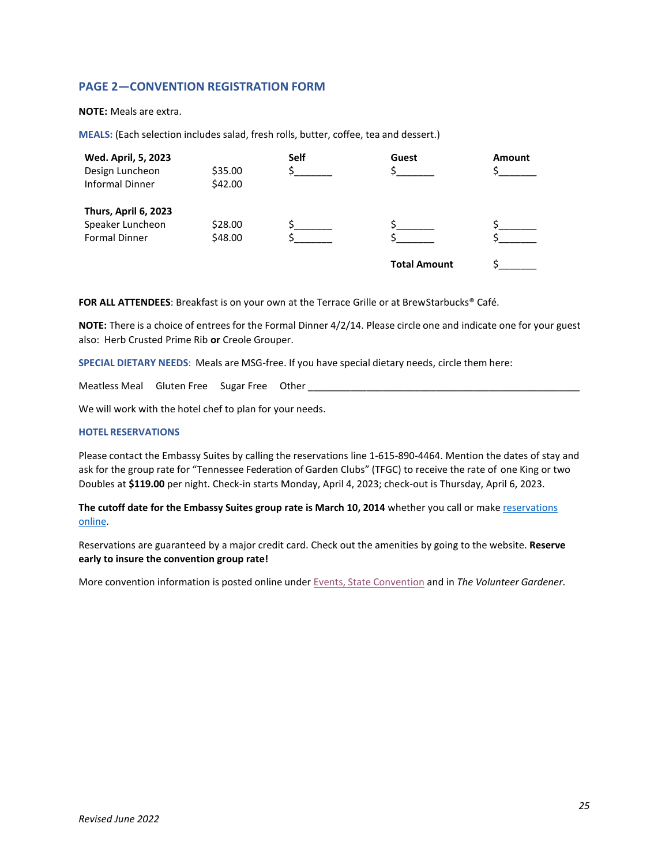## **PAGE 2—CONVENTION REGISTRATION FORM**

#### **NOTE:** Meals are extra.

**MEALS:** (Each selection includes salad, fresh rolls, butter, coffee, tea and dessert.)

| Wed. April, 5, 2023<br>Design Luncheon<br><b>Informal Dinner</b>        | \$35.00<br>\$42.00 | <b>Self</b> | Guest               | <b>Amount</b> |
|-------------------------------------------------------------------------|--------------------|-------------|---------------------|---------------|
| <b>Thurs, April 6, 2023</b><br>Speaker Luncheon<br><b>Formal Dinner</b> | \$28.00<br>\$48.00 |             |                     |               |
|                                                                         |                    |             | <b>Total Amount</b> |               |

**FOR ALL ATTENDEES**: Breakfast is on your own at the Terrace Grille or at BrewStarbucks® Café.

**NOTE:** There is a choice of entrees for the Formal Dinner 4/2/14. Please circle one and indicate one for your guest also: Herb Crusted Prime Rib **or** Creole Grouper.

**SPECIAL DIETARY NEEDS**: Meals are MSG-free. If you have special dietary needs, circle them here:

Meatless Meal Gluten Free Sugar Free Other \_\_\_\_\_\_\_\_\_

We will work with the hotel chef to plan for your needs.

#### **HOTEL RESERVATIONS**

Please contact the Embassy Suites by calling the reservations line 1-615-890-4464. Mention the dates of stay and ask for the group rate for "Tennessee Federation of Garden Clubs" (TFGC) to receive the rate of one King or two Doubles at **\$119.00** per night. Check-in starts Monday, April 4, 2023; check-out is Thursday, April 6, 2023.

**The cutoff date for the Embassy Suites group rate is March 10, 2014** whether you call or mak[e reservations](https://www.hilton.com/en/hotels/mbteses-embassy-suites-nashville-se-murfreesboro/)  [online.](https://www.hilton.com/en/hotels/mbteses-embassy-suites-nashville-se-murfreesboro/) 

Reservations are guaranteed by a major credit card. Check out the amenities by going to the website. **Reserve early to insure the convention group rate!**

More convention information is posted online under [Events, State Convention](https://www.tngardenclubs.org/state-convention/) and in *The Volunteer Gardener*.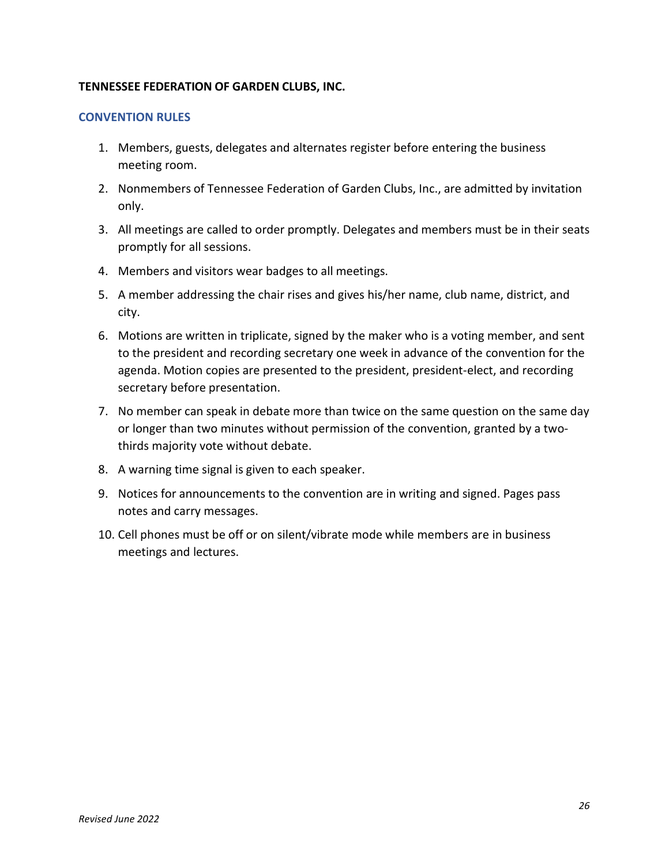## <span id="page-26-0"></span>**CONVENTION RULES**

- 1. Members, guests, delegates and alternates register before entering the business meeting room.
- 2. Nonmembers of Tennessee Federation of Garden Clubs, Inc., are admitted by invitation only.
- 3. All meetings are called to order promptly. Delegates and members must be in their seats promptly for all sessions.
- 4. Members and visitors wear badges to all meetings.
- 5. A member addressing the chair rises and gives his/her name, club name, district, and city.
- 6. Motions are written in triplicate, signed by the maker who is a voting member, and sent to the president and recording secretary one week in advance of the convention for the agenda. Motion copies are presented to the president, president-elect, and recording secretary before presentation.
- 7. No member can speak in debate more than twice on the same question on the same day or longer than two minutes without permission of the convention, granted by a twothirds majority vote without debate.
- 8. A warning time signal is given to each speaker.
- 9. Notices for announcements to the convention are in writing and signed. Pages pass notes and carry messages.
- 10. Cell phones must be off or on silent/vibrate mode while members are in business meetings and lectures.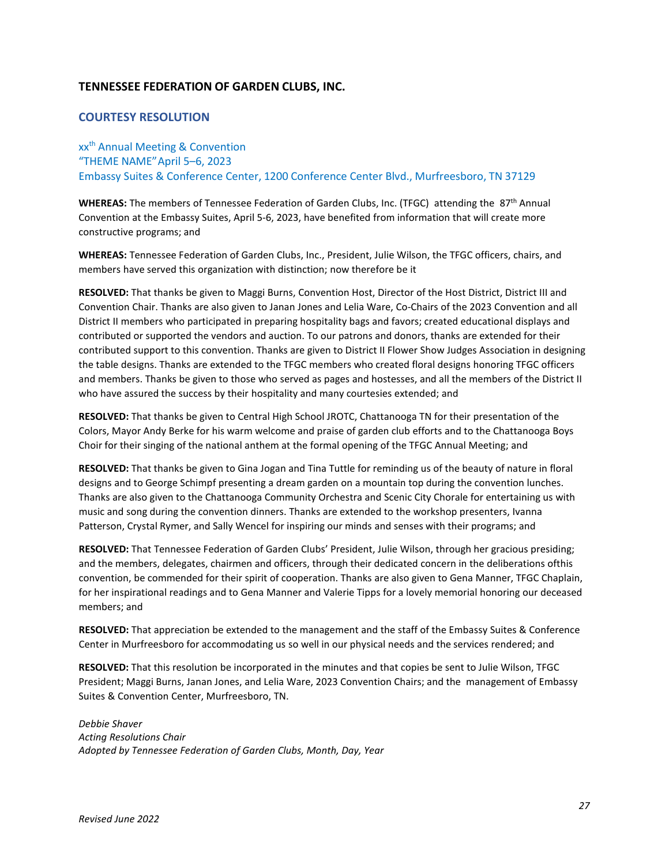#### <span id="page-27-0"></span>**COURTESY RESOLUTION**

xxth Annual Meeting & Convention "THEME NAME"April 5–6, 2023 Embassy Suites & Conference Center, 1200 Conference Center Blvd., Murfreesboro, TN 37129

WHEREAS: The members of Tennessee Federation of Garden Clubs, Inc. (TFGC) attending the 87<sup>th</sup> Annual Convention at the Embassy Suites, April 5-6, 2023, have benefited from information that will create more constructive programs; and

**WHEREAS:** Tennessee Federation of Garden Clubs, Inc., President, Julie Wilson, the TFGC officers, chairs, and members have served this organization with distinction; now therefore be it

**RESOLVED:** That thanks be given to Maggi Burns, Convention Host, Director of the Host District, District III and Convention Chair. Thanks are also given to Janan Jones and Lelia Ware, Co-Chairs of the 2023 Convention and all District II members who participated in preparing hospitality bags and favors; created educational displays and contributed or supported the vendors and auction. To our patrons and donors, thanks are extended for their contributed support to this convention. Thanks are given to District II Flower Show Judges Association in designing the table designs. Thanks are extended to the TFGC members who created floral designs honoring TFGC officers and members. Thanks be given to those who served as pages and hostesses, and all the members of the District II who have assured the success by their hospitality and many courtesies extended; and

**RESOLVED:** That thanks be given to Central High School JROTC, Chattanooga TN for their presentation of the Colors, Mayor Andy Berke for his warm welcome and praise of garden club efforts and to the Chattanooga Boys Choir for their singing of the national anthem at the formal opening of the TFGC Annual Meeting; and

**RESOLVED:** That thanks be given to Gina Jogan and Tina Tuttle for reminding us of the beauty of nature in floral designs and to George Schimpf presenting a dream garden on a mountain top during the convention lunches. Thanks are also given to the Chattanooga Community Orchestra and Scenic City Chorale for entertaining us with music and song during the convention dinners. Thanks are extended to the workshop presenters, Ivanna Patterson, Crystal Rymer, and Sally Wencel for inspiring our minds and senses with their programs; and

**RESOLVED:** That Tennessee Federation of Garden Clubs' President, Julie Wilson, through her gracious presiding; and the members, delegates, chairmen and officers, through their dedicated concern in the deliberations ofthis convention, be commended for their spirit of cooperation. Thanks are also given to Gena Manner, TFGC Chaplain, for her inspirational readings and to Gena Manner and Valerie Tipps for a lovely memorial honoring our deceased members; and

**RESOLVED:** That appreciation be extended to the management and the staff of the Embassy Suites & Conference Center in Murfreesboro for accommodating us so well in our physical needs and the services rendered; and

**RESOLVED:** That this resolution be incorporated in the minutes and that copies be sent to Julie Wilson, TFGC President; Maggi Burns, Janan Jones, and Lelia Ware, 2023 Convention Chairs; and the management of Embassy Suites & Convention Center, Murfreesboro, TN.

*Debbie Shaver Acting Resolutions Chair Adopted by Tennessee Federation of Garden Clubs, Month, Day, Year*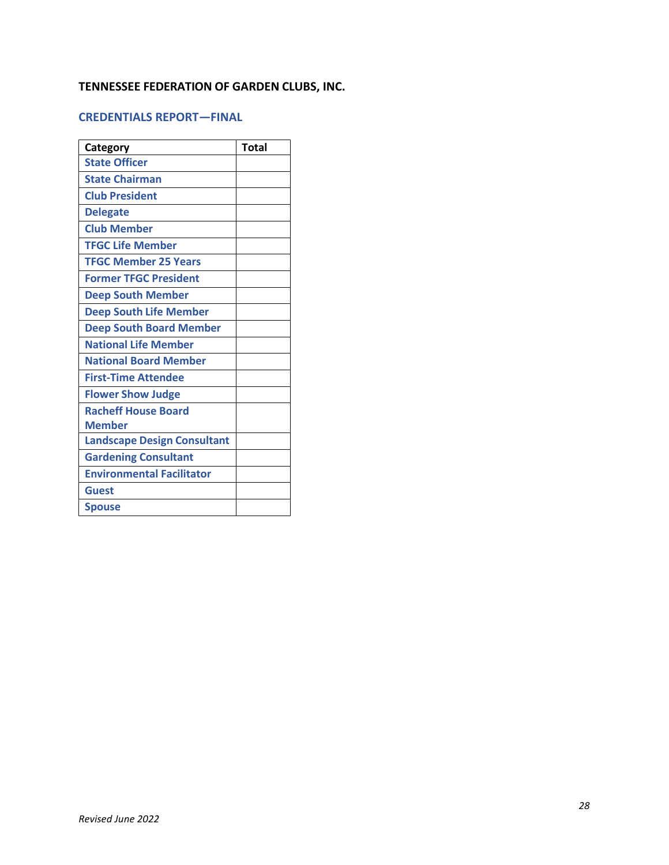## <span id="page-28-0"></span>**CREDENTIALS REPORT—FINAL**

| Category                           | <b>Total</b> |
|------------------------------------|--------------|
| <b>State Officer</b>               |              |
| <b>State Chairman</b>              |              |
| <b>Club President</b>              |              |
| <b>Delegate</b>                    |              |
| <b>Club Member</b>                 |              |
| <b>TFGC Life Member</b>            |              |
| <b>TFGC Member 25 Years</b>        |              |
| <b>Former TFGC President</b>       |              |
| <b>Deep South Member</b>           |              |
| <b>Deep South Life Member</b>      |              |
| <b>Deep South Board Member</b>     |              |
| <b>National Life Member</b>        |              |
| <b>National Board Member</b>       |              |
| <b>First-Time Attendee</b>         |              |
| <b>Flower Show Judge</b>           |              |
| <b>Racheff House Board</b>         |              |
| <b>Member</b>                      |              |
| <b>Landscape Design Consultant</b> |              |
| <b>Gardening Consultant</b>        |              |
| <b>Environmental Facilitator</b>   |              |
| Guest                              |              |
| <b>Spouse</b>                      |              |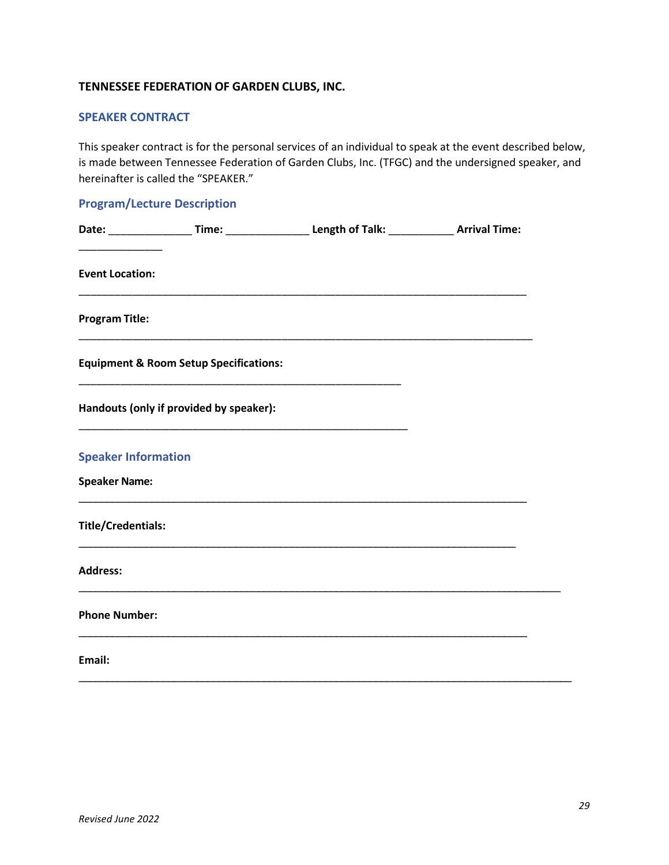## <span id="page-29-0"></span>**SPEAKER CONTRACT**

This speaker contract is for the personal services of an individual to speak at the event described below, is made between Tennessee Federation of Garden Clubs, Inc. (TFGC) and the undersigned speaker, and hereinafter is called the "SPEAKER."

## **Program/Lecture Description**

|                            |                                                   | Date: ___________________Time: ________________________Length of Talk: ____________________Arrival Time: |  |
|----------------------------|---------------------------------------------------|----------------------------------------------------------------------------------------------------------|--|
| <b>Event Location:</b>     |                                                   |                                                                                                          |  |
| <b>Program Title:</b>      |                                                   |                                                                                                          |  |
|                            | <b>Equipment &amp; Room Setup Specifications:</b> |                                                                                                          |  |
|                            | Handouts (only if provided by speaker):           |                                                                                                          |  |
| <b>Speaker Information</b> |                                                   |                                                                                                          |  |
| <b>Speaker Name:</b>       |                                                   |                                                                                                          |  |
| <b>Title/Credentials:</b>  |                                                   |                                                                                                          |  |
| <b>Address:</b>            |                                                   |                                                                                                          |  |
| <b>Phone Number:</b>       |                                                   |                                                                                                          |  |
| Email:                     |                                                   |                                                                                                          |  |

\_\_\_\_\_\_\_\_\_\_\_\_\_\_\_\_\_\_\_\_\_\_\_\_\_\_\_\_\_\_\_\_\_\_\_\_\_\_\_\_\_\_\_\_\_\_\_\_\_\_\_\_\_\_\_\_\_\_\_\_\_\_\_\_\_\_\_\_\_\_\_\_\_\_\_\_\_\_\_\_\_\_\_\_\_\_\_\_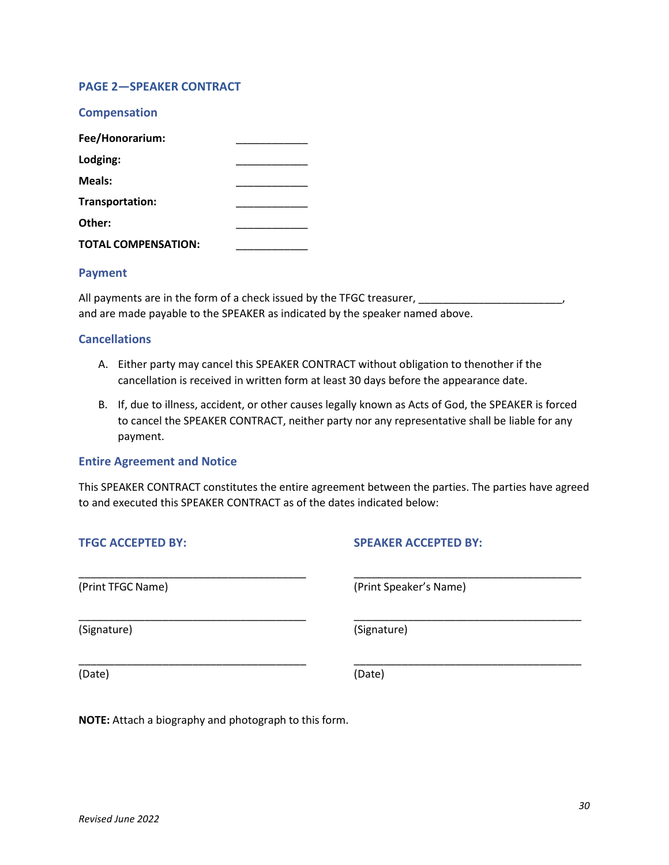## **PAGE 2—SPEAKER CONTRACT**

| <b>Compensation</b>        |  |
|----------------------------|--|
| Fee/Honorarium:            |  |
| Lodging:                   |  |
| Meals:                     |  |
| Transportation:            |  |
| Other:                     |  |
| <b>TOTAL COMPENSATION:</b> |  |

## **Payment**

All payments are in the form of a check issued by the TFGC treasurer, \_\_\_\_\_\_\_\_\_\_ and are made payable to the SPEAKER as indicated by the speaker named above.

## **Cancellations**

- A. Either party may cancel this SPEAKER CONTRACT without obligation to thenother if the cancellation is received in written form at least 30 days before the appearance date.
- B. If, due to illness, accident, or other causes legally known as Acts of God, the SPEAKER is forced to cancel the SPEAKER CONTRACT, neither party nor any representative shall be liable for any payment.

## **Entire Agreement and Notice**

This SPEAKER CONTRACT constitutes the entire agreement between the parties. The parties have agreed to and executed this SPEAKER CONTRACT as of the dates indicated below:

| <b>TFGC ACCEPTED BY:</b> | <b>SPEAKER ACCEPTED BY:</b> |  |  |
|--------------------------|-----------------------------|--|--|
| (Print TFGC Name)        | (Print Speaker's Name)      |  |  |
| (Signature)              | (Signature)                 |  |  |
| (Date)                   | (Date)                      |  |  |

**NOTE:** Attach a biography and photograph to this form.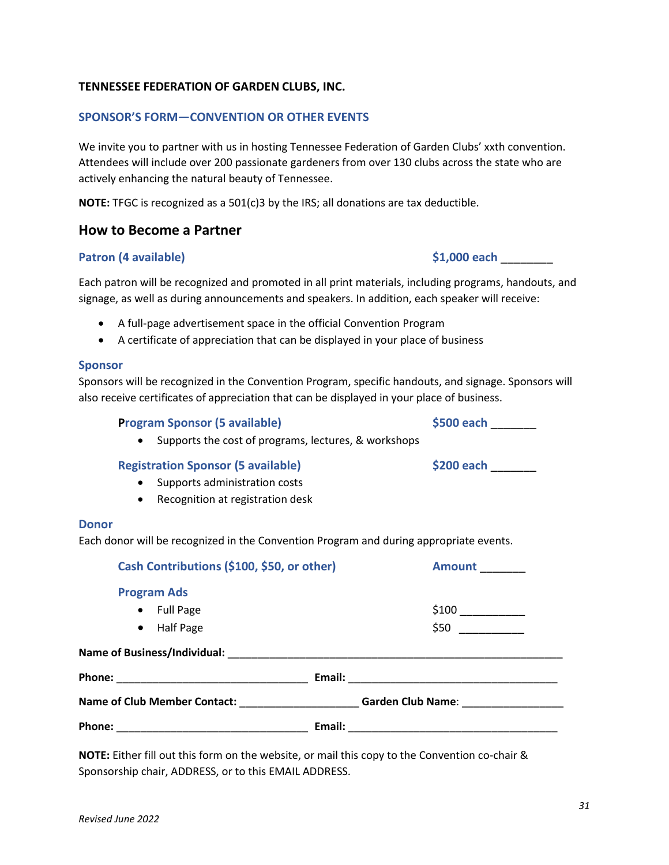# *Revised June 2022*

## **TENNESSEE FEDERATION OF GARDEN CLUBS, INC.**

## <span id="page-31-0"></span>**SPONSOR'S FORM—CONVENTION OR OTHER EVENTS**

We invite you to partner with us in hosting Tennessee Federation of Garden Clubs' xxth convention. Attendees will include over 200 passionate gardeners from over 130 clubs across the state who are actively enhancing the natural beauty of Tennessee.

**NOTE:** TFGC is recognized as a 501(c)3 by the IRS; all donations are tax deductible.

## **How to Become a Partner**

## **Patron (4 available) \$1,000 each** \_\_\_\_\_\_\_\_

Each patron will be recognized and promoted in all print materials, including programs, handouts, and signage, as well as during announcements and speakers. In addition, each speaker will receive:

- A full-page advertisement space in the official Convention Program
- A certificate of appreciation that can be displayed in your place of business

## **Sponsor**

Sponsors will be recognized in the Convention Program, specific handouts, and signage. Sponsors will also receive certificates of appreciation that can be displayed in your place of business.

## **Program Sponsor (5 available) \$500 each \$500 each**

• Supports the cost of programs, lectures, & workshops

## **Registration Sponsor (5 available) \$200 each** \$200 each

- Supports administration costs
- Recognition at registration desk

## **Donor**

Each donor will be recognized in the Convention Program and during appropriate events.

| Cash Contributions (\$100, \$50, or other)                            |        | <b>Amount</b>                                                                                                   |  |
|-----------------------------------------------------------------------|--------|-----------------------------------------------------------------------------------------------------------------|--|
| <b>Program Ads</b>                                                    |        |                                                                                                                 |  |
| • Full Page                                                           |        |                                                                                                                 |  |
| • Half Page                                                           |        |                                                                                                                 |  |
|                                                                       |        |                                                                                                                 |  |
|                                                                       |        | Email: 2008. 2009. 2009. 2010. 2010. 2010. 2010. 2012. 2012. 2012. 2013. 2014. 2014. 2015. 2016. 2017. 2017. 20 |  |
|                                                                       |        | Garden Club Name: Sand Control of the Second State of the Second State of the Second State of the Second State  |  |
| <b>Phone:</b><br><u> 2008 - Jan Barnett, fransk politik (d. 1888)</u> | Email: |                                                                                                                 |  |

**NOTE:** Either fill out this form on the website, or mail this copy to the Convention co-chair & Sponsorship chair, ADDRESS, or to this EMAIL ADDRESS.

*31*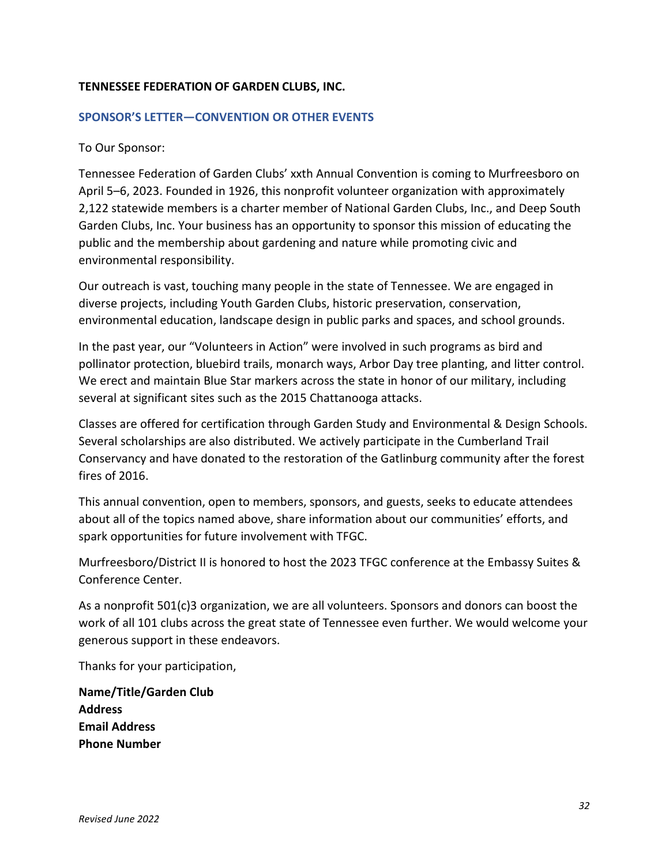## <span id="page-32-0"></span>**SPONSOR'S LETTER—CONVENTION OR OTHER EVENTS**

To Our Sponsor:

Tennessee Federation of Garden Clubs' xxth Annual Convention is coming to Murfreesboro on April 5–6, 2023. Founded in 1926, this nonprofit volunteer organization with approximately 2,122 statewide members is a charter member of National Garden Clubs, Inc., and Deep South Garden Clubs, Inc. Your business has an opportunity to sponsor this mission of educating the public and the membership about gardening and nature while promoting civic and environmental responsibility.

Our outreach is vast, touching many people in the state of Tennessee. We are engaged in diverse projects, including Youth Garden Clubs, historic preservation, conservation, environmental education, landscape design in public parks and spaces, and school grounds.

In the past year, our "Volunteers in Action" were involved in such programs as bird and pollinator protection, bluebird trails, monarch ways, Arbor Day tree planting, and litter control. We erect and maintain Blue Star markers across the state in honor of our military, including several at significant sites such as the 2015 Chattanooga attacks.

Classes are offered for certification through Garden Study and Environmental & Design Schools. Several scholarships are also distributed. We actively participate in the Cumberland Trail Conservancy and have donated to the restoration of the Gatlinburg community after the forest fires of 2016.

This annual convention, open to members, sponsors, and guests, seeks to educate attendees about all of the topics named above, share information about our communities' efforts, and spark opportunities for future involvement with TFGC.

Murfreesboro/District II is honored to host the 2023 TFGC conference at the Embassy Suites & Conference Center.

As a nonprofit 501(c)3 organization, we are all volunteers. Sponsors and donors can boost the work of all 101 clubs across the great state of Tennessee even further. We would welcome your generous support in these endeavors.

Thanks for your participation,

**Name/Title/Garden Club Address Email Address Phone Number**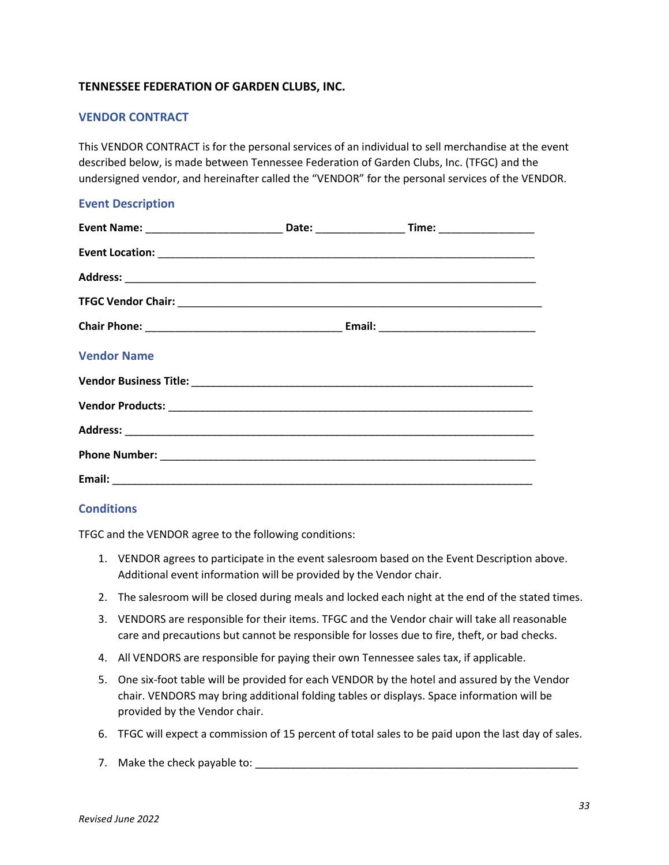## <span id="page-33-0"></span>**VENDOR CONTRACT**

This VENDOR CONTRACT is for the personal services of an individual to sell merchandise at the event described below, is made between Tennessee Federation of Garden Clubs, Inc. (TFGC) and the undersigned vendor, and hereinafter called the "VENDOR" for the personal services of the VENDOR.

## **Event Description**

| <b>Vendor Name</b> |  |  |
|--------------------|--|--|
|                    |  |  |
|                    |  |  |
|                    |  |  |
|                    |  |  |
|                    |  |  |

## **Conditions**

TFGC and the VENDOR agree to the following conditions:

- 1. VENDOR agrees to participate in the event salesroom based on the Event Description above. Additional event information will be provided by the Vendor chair.
- 2. The salesroom will be closed during meals and locked each night at the end of the stated times.
- 3. VENDORS are responsible for their items. TFGC and the Vendor chair will take all reasonable care and precautions but cannot be responsible for losses due to fire, theft, or bad checks.
- 4. All VENDORS are responsible for paying their own Tennessee sales tax, if applicable.
- 5. One six-foot table will be provided for each VENDOR by the hotel and assured by the Vendor chair. VENDORS may bring additional folding tables or displays. Space information will be provided by the Vendor chair.
- 6. TFGC will expect a commission of 15 percent of total sales to be paid upon the last day of sales.
- 7. Make the check payable to: **We are all the check** payable to: